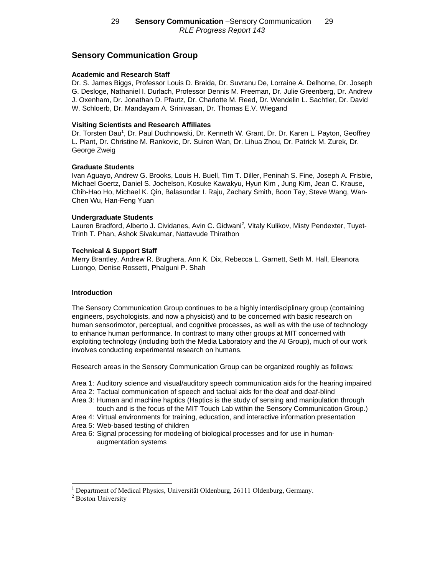# **Sensory Communication Group**

### **Academic and Research Staff**

Dr. S. James Biggs, Professor Louis D. Braida, Dr. Suvranu De, Lorraine A. Delhorne, Dr. Joseph G. Desloge, Nathaniel I. Durlach, Professor Dennis M. Freeman, Dr. Julie Greenberg, Dr. Andrew J. Oxenham, Dr. Jonathan D. Pfautz, Dr. Charlotte M. Reed, Dr. Wendelin L. Sachtler, Dr. David W. Schloerb, Dr. Mandayam A. Srinivasan, Dr. Thomas E.V. Wiegand

### **Visiting Scientists and Research Affiliates**

Dr. Torsten Dau<sup>1</sup>, Dr. Paul Duchnowski, Dr. Kenneth W. Grant, Dr. Dr. Karen L. Payton, Geoffrey L. Plant, Dr. Christine M. Rankovic, Dr. Suiren Wan, Dr. Lihua Zhou, Dr. Patrick M. Zurek, Dr. George Zweig

### **Graduate Students**

Ivan Aguayo, Andrew G. Brooks, Louis H. Buell, Tim T. Diller, Peninah S. Fine, Joseph A. Frisbie, Michael Goertz, Daniel S. Jochelson, Kosuke Kawakyu, Hyun Kim , Jung Kim, Jean C. Krause, Chih-Hao Ho, Michael K. Qin, Balasundar I. Raju, Zachary Smith, Boon Tay, Steve Wang, Wan-Chen Wu, Han-Feng Yuan

### **Undergraduate Students**

Lauren Bradford, Alberto J. Cividanes, Avin C. Gidwani<sup>2</sup>, Vitaly Kulikov, Misty Pendexter, Tuyet-Trinh T. Phan, Ashok Sivakumar, Nattavude Thirathon

### **Technical & Support Staff**

Merry Brantley, Andrew R. Brughera, Ann K. Dix, Rebecca L. Garnett, Seth M. Hall, Eleanora Luongo, Denise Rossetti, Phalguni P. Shah

## **Introduction**

The Sensory Communication Group continues to be a highly interdisciplinary group (containing engineers, psychologists, and now a physicist) and to be concerned with basic research on human sensorimotor, perceptual, and cognitive processes, as well as with the use of technology to enhance human performance. In contrast to many other groups at MIT concerned with exploiting technology (including both the Media Laboratory and the AI Group), much of our work involves conducting experimental research on humans.

Research areas in the Sensory Communication Group can be organized roughly as follows:

- [Area 1: Auditory science and visual/auditory speech communication aids for the hearing impaired](http://web7.mit.edu/ASC/)
- Area 2: Tactual communication of speech and tactual aids for the deaf and deaf-blind
- [Area 3: Human and machine haptics \(Haptics is the study of sensing and manipulation through](http://touchlab.mit.edu/index.html) touch and is the focus of the MIT Touch Lab within the Sensory Communication Group.)
- [Area 4: Virtual environments for training, education, and interactive information presentation](http://mimsy.mit.edu/)

[Area 5: Web-based testing of children](http://www.childrensprogress.com)

[Area 6: Signal processing for modeling of biological processes and for use in human](http://mimsy.mit.edu/)augmentation systems

l

<sup>1</sup> Department of Medical Physics, Universität Oldenburg, 26111 Oldenburg, Germany.

<sup>&</sup>lt;sup>2</sup> Boston University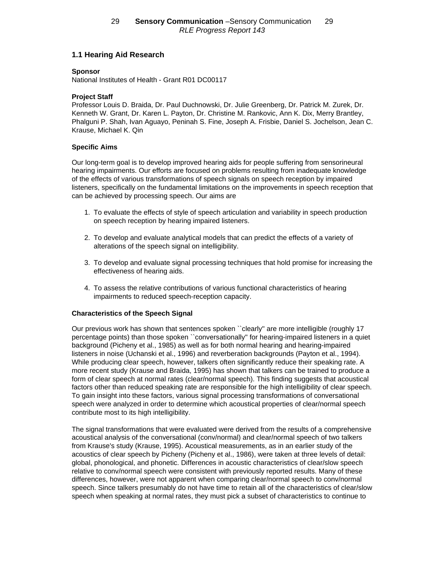# **1.1 Hearing Aid Research**

# **Sponsor**

National Institutes of Health - Grant R01 DC00117

# **Project Staff**

Professor Louis D. Braida, Dr. Paul Duchnowski, Dr. Julie Greenberg, Dr. Patrick M. Zurek, Dr. Kenneth W. Grant, Dr. Karen L. Payton, Dr. Christine M. Rankovic, Ann K. Dix, Merry Brantley, Phalguni P. Shah, Ivan Aguayo, Peninah S. Fine, Joseph A. Frisbie, Daniel S. Jochelson, Jean C. Krause, Michael K. Qin

## **Specific Aims**

Our long-term goal is to develop improved hearing aids for people suffering from sensorineural hearing impairments. Our efforts are focused on problems resulting from inadequate knowledge of the effects of various transformations of speech signals on speech reception by impaired listeners, specifically on the fundamental limitations on the improvements in speech reception that can be achieved by processing speech. Our aims are

- 1. To evaluate the effects of style of speech articulation and variability in speech production on speech reception by hearing impaired listeners.
- 2. To develop and evaluate analytical models that can predict the effects of a variety of alterations of the speech signal on intelligibility.
- 3. To develop and evaluate signal processing techniques that hold promise for increasing the effectiveness of hearing aids.
- 4. To assess the relative contributions of various functional characteristics of hearing impairments to reduced speech-reception capacity.

## **Characteristics of the Speech Signal**

Our previous work has shown that sentences spoken ``clearly'' are more intelligible (roughly 17 percentage points) than those spoken ``conversationally'' for hearing-impaired listeners in a quiet background (Picheny et al., 1985) as well as for both normal hearing and hearing-impaired listeners in noise (Uchanski et al., 1996) and reverberation backgrounds (Payton et al., 1994). While producing clear speech, however, talkers often significantly reduce their speaking rate. A more recent study (Krause and Braida, 1995) has shown that talkers can be trained to produce a form of clear speech at normal rates (clear/normal speech). This finding suggests that acoustical factors other than reduced speaking rate are responsible for the high intelligibility of clear speech. To gain insight into these factors, various signal processing transformations of conversational speech were analyzed in order to determine which acoustical properties of clear/normal speech contribute most to its high intelligibility.

The signal transformations that were evaluated were derived from the results of a comprehensive acoustical analysis of the conversational (conv/normal) and clear/normal speech of two talkers from Krause's study (Krause, 1995). Acoustical measurements, as in an earlier study of the acoustics of clear speech by Picheny (Picheny et al., 1986), were taken at three levels of detail: global, phonological, and phonetic. Differences in acoustic characteristics of clear/slow speech relative to conv/normal speech were consistent with previously reported results. Many of these differences, however, were not apparent when comparing clear/normal speech to conv/normal speech. Since talkers presumably do not have time to retain all of the characteristics of clear/slow speech when speaking at normal rates, they must pick a subset of characteristics to continue to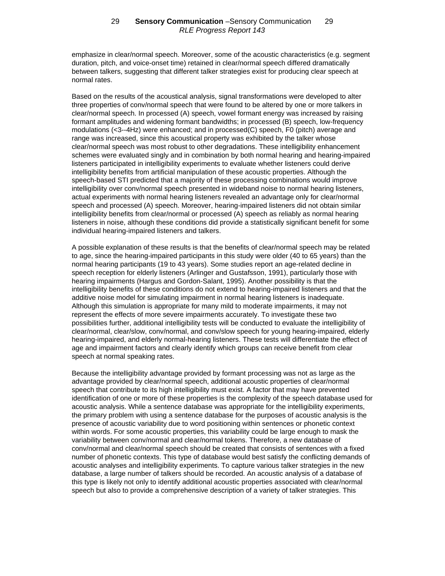emphasize in clear/normal speech. Moreover, some of the acoustic characteristics (e.g. segment duration, pitch, and voice-onset time) retained in clear/normal speech differed dramatically between talkers, suggesting that different talker strategies exist for producing clear speech at normal rates.

Based on the results of the acoustical analysis, signal transformations were developed to alter three properties of conv/normal speech that were found to be altered by one or more talkers in clear/normal speech. In processed (A) speech, vowel formant energy was increased by raising formant amplitudes and widening formant bandwidths; in processed (B) speech, low-frequency modulations (<3--4Hz) were enhanced; and in processed(C) speech, F0 (pitch) average and range was increased, since this acoustical property was exhibited by the talker whose clear/normal speech was most robust to other degradations. These intelligibility enhancement schemes were evaluated singly and in combination by both normal hearing and hearing-impaired listeners participated in intelligibility experiments to evaluate whether listeners could derive intelligibility benefits from artificial manipulation of these acoustic properties. Although the speech-based STI predicted that a majority of these processing combinations would improve intelligibility over conv/normal speech presented in wideband noise to normal hearing listeners, actual experiments with normal hearing listeners revealed an advantage only for clear/normal speech and processed (A) speech. Moreover, hearing-impaired listeners did not obtain similar intelligibility benefits from clear/normal or processed (A) speech as reliably as normal hearing listeners in noise, although these conditions did provide a statistically significant benefit for some individual hearing-impaired listeners and talkers.

A possible explanation of these results is that the benefits of clear/normal speech may be related to age, since the hearing-impaired participants in this study were older (40 to 65 years) than the normal hearing participants (19 to 43 years). Some studies report an age-related decline in speech reception for elderly listeners (Arlinger and Gustafsson, 1991), particularly those with hearing impairments (Hargus and Gordon-Salant, 1995). Another possibility is that the intelligibility benefits of these conditions do not extend to hearing-impaired listeners and that the additive noise model for simulating impairment in normal hearing listeners is inadequate. Although this simulation is appropriate for many mild to moderate impairments, it may not represent the effects of more severe impairments accurately. To investigate these two possibilities further, additional intelligibility tests will be conducted to evaluate the intelligibility of clear/normal, clear/slow, conv/normal, and conv/slow speech for young hearing-impaired, elderly hearing-impaired, and elderly normal-hearing listeners. These tests will differentiate the effect of age and impairment factors and clearly identify which groups can receive benefit from clear speech at normal speaking rates.

Because the intelligibility advantage provided by formant processing was not as large as the advantage provided by clear/normal speech, additional acoustic properties of clear/normal speech that contribute to its high intelligibility must exist. A factor that may have prevented identification of one or more of these properties is the complexity of the speech database used for acoustic analysis. While a sentence database was appropriate for the intelligibility experiments, the primary problem with using a sentence database for the purposes of acoustic analysis is the presence of acoustic variability due to word positioning within sentences or phonetic context within words. For some acoustic properties, this variability could be large enough to mask the variability between conv/normal and clear/normal tokens. Therefore, a new database of conv/normal and clear/normal speech should be created that consists of sentences with a fixed number of phonetic contexts. This type of database would best satisfy the conflicting demands of acoustic analyses and intelligibility experiments. To capture various talker strategies in the new database, a large number of talkers should be recorded. An acoustic analysis of a database of this type is likely not only to identify additional acoustic properties associated with clear/normal speech but also to provide a comprehensive description of a variety of talker strategies. This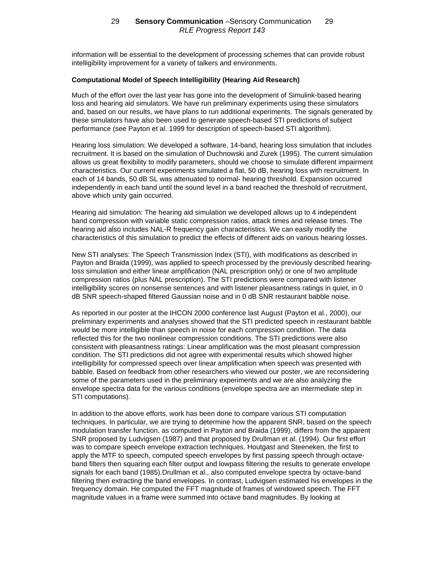information will be essential to the development of processing schemes that can provide robust intelligibility improvement for a variety of talkers and environments.

#### **Computational Model of Speech Intelligibility (Hearing Aid Research)**

Much of the effort over the last year has gone into the development of Simulink-based hearing loss and hearing aid simulators. We have run preliminary experiments using these simulators and, based on our results, we have plans to run additional experiments. The signals generated by these simulators have also been used to generate speech-based STI predictions of subject performance (see Payton et al. 1999 for description of speech-based STI algorithm).

Hearing loss simulation: We developed a software, 14-band, hearing loss simulation that includes recruitment. It is based on the simulation of Duchnowski and Zurek (1995). The current simulation allows us great flexibility to modify parameters, should we choose to simulate different impairment characteristics. Our current experiments simulated a flat, 50 dB, hearing loss with recruitment. In each of 14 bands, 50 dB SL was attenuated to normal- hearing threshold. Expansion occurred independently in each band until the sound level in a band reached the threshold of recruitment, above which unity gain occurred.

Hearing aid simulation: The hearing aid simulation we developed allows up to 4 independent band compression with variable static compression ratios, attack times and release times. The hearing aid also includes NAL-R frequency gain characteristics. We can easily modify the characteristics of this simulation to predict the effects of different aids on various hearing losses.

New STI analyses: The Speech Transmission Index (STI), with modifications as described in Payton and Braida (1999), was applied to speech processed by the previously described hearingloss simulation and either linear amplification (NAL prescription only) or one of two amplitude compression ratios (plus NAL prescription). The STI predictions were compared with listener intelligibility scores on nonsense sentences and with listener pleasantness ratings in quiet, in 0 dB SNR speech-shaped filtered Gaussian noise and in 0 dB SNR restaurant babble noise.

As reported in our poster at the IHCON 2000 conference last August (Payton et al., 2000), our preliminary experiments and analyses showed that the STI predicted speech in restaurant babble would be more intelligible than speech in noise for each compression condition. The data reflected this for the two nonlinear compression conditions. The STI predictions were also consistent with pleasantness ratings: Linear amplification was the most pleasant compression condition. The STI predictions did not agree with experimental results which showed higher intelligibility for compressed speech over linear amplification when speech was presented with babble. Based on feedback from other researchers who viewed our poster, we are reconsidering some of the parameters used in the preliminary experiments and we are also analyzing the envelope spectra data for the various conditions (envelope spectra are an intermediate step in STI computations).

In addition to the above efforts, work has been done to compare various STI computation techniques. In particular, we are trying to determine how the apparent SNR, based on the speech modulation transfer function, as computed in Payton and Braida (1999), differs from the apparent SNR proposed by Ludvigsen (1987) and that proposed by Drullman et al. (1994). Our first effort was to compare speech envelope extraction techniques. Houtgast and Steeneken, the first to apply the MTF to speech, computed speech envelopes by first passing speech through octaveband filters then squaring each filter output and lowpass filtering the results to generate envelope signals for each band (1985).Drullman et al., also computed envelope spectra by octave-band filtering then extracting the band envelopes. In contrast, Ludvigsen estimated his envelopes in the frequency domain. He computed the FFT magnitude of frames of windowed speech. The FFT magnitude values in a frame were summed into octave band magnitudes. By looking at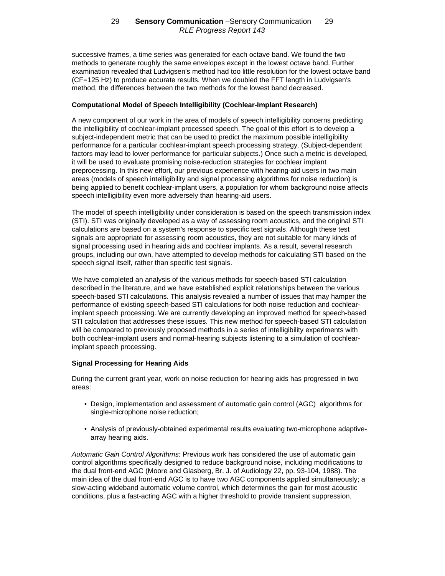successive frames, a time series was generated for each octave band. We found the two methods to generate roughly the same envelopes except in the lowest octave band. Further examination revealed that Ludvigsen's method had too little resolution for the lowest octave band (CF=125 Hz) to produce accurate results. When we doubled the FFT length in Ludvigsen's method, the differences between the two methods for the lowest band decreased.

### **Computational Model of Speech Intelligibility (Cochlear-Implant Research)**

A new component of our work in the area of models of speech intelligibility concerns predicting the intelligibility of cochlear-implant processed speech. The goal of this effort is to develop a subject-independent metric that can be used to predict the maximum possible intelligibility performance for a particular cochlear-implant speech processing strategy. (Subject-dependent factors may lead to lower performance for particular subjects.) Once such a metric is developed, it will be used to evaluate promising noise-reduction strategies for cochlear implant preprocessing. In this new effort, our previous experience with hearing-aid users in two main areas (models of speech intelligibility and signal processing algorithms for noise reduction) is being applied to benefit cochlear-implant users, a population for whom background noise affects speech intelligibility even more adversely than hearing-aid users.

The model of speech intelligibility under consideration is based on the speech transmission index (STI). STI was originally developed as a way of assessing room acoustics, and the original STI calculations are based on a system's response to specific test signals. Although these test signals are appropriate for assessing room acoustics, they are not suitable for many kinds of signal processing used in hearing aids and cochlear implants. As a result, several research groups, including our own, have attempted to develop methods for calculating STI based on the speech signal itself, rather than specific test signals.

We have completed an analysis of the various methods for speech-based STI calculation described in the literature, and we have established explicit relationships between the various speech-based STI calculations. This analysis revealed a number of issues that may hamper the performance of existing speech-based STI calculations for both noise reduction and cochlearimplant speech processing. We are currently developing an improved method for speech-based STI calculation that addresses these issues. This new method for speech-based STI calculation will be compared to previously proposed methods in a series of intelligibility experiments with both cochlear-implant users and normal-hearing subjects listening to a simulation of cochlearimplant speech processing.

## **Signal Processing for Hearing Aids**

During the current grant year, work on noise reduction for hearing aids has progressed in two areas:

- Design, implementation and assessment of automatic gain control (AGC) algorithms for single-microphone noise reduction;
- Analysis of previously-obtained experimental results evaluating two-microphone adaptivearray hearing aids.

*Automatic Gain Control Algorithms*: Previous work has considered the use of automatic gain control algorithms specifically designed to reduce background noise, including modifications to the dual front-end AGC (Moore and Glasberg, Br. J. of Audiology 22, pp. 93-104, 1988). The main idea of the dual front-end AGC is to have two AGC components applied simultaneously; a slow-acting wideband automatic volume control, which determines the gain for most acoustic conditions, plus a fast-acting AGC with a higher threshold to provide transient suppression.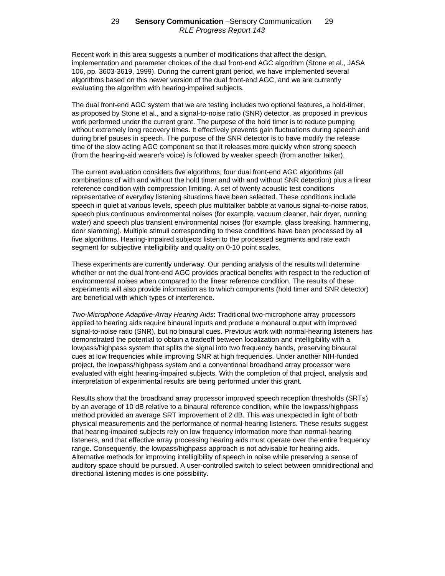Recent work in this area suggests a number of modifications that affect the design, implementation and parameter choices of the dual front-end AGC algorithm (Stone et al., JASA 106, pp. 3603-3619, 1999). During the current grant period, we have implemented several algorithms based on this newer version of the dual front-end AGC, and we are currently evaluating the algorithm with hearing-impaired subjects.

The dual front-end AGC system that we are testing includes two optional features, a hold-timer, as proposed by Stone et al., and a signal-to-noise ratio (SNR) detector, as proposed in previous work performed under the current grant. The purpose of the hold timer is to reduce pumping without extremely long recovery times. It effectively prevents gain fluctuations during speech and during brief pauses in speech. The purpose of the SNR detector is to have modify the release time of the slow acting AGC component so that it releases more quickly when strong speech (from the hearing-aid wearer's voice) is followed by weaker speech (from another talker).

The current evaluation considers five algorithms, four dual front-end AGC algorithms (all combinations of with and without the hold timer and with and without SNR detection) plus a linear reference condition with compression limiting. A set of twenty acoustic test conditions representative of everyday listening situations have been selected. These conditions include speech in quiet at various levels, speech plus multitalker babble at various signal-to-noise ratios, speech plus continuous environmental noises (for example, vacuum cleaner, hair dryer, running water) and speech plus transient environmental noises (for example, glass breaking, hammering, door slamming). Multiple stimuli corresponding to these conditions have been processed by all five algorithms. Hearing-impaired subjects listen to the processed segments and rate each segment for subjective intelligibility and quality on 0-10 point scales.

These experiments are currently underway. Our pending analysis of the results will determine whether or not the dual front-end AGC provides practical benefits with respect to the reduction of environmental noises when compared to the linear reference condition. The results of these experiments will also provide information as to which components (hold timer and SNR detector) are beneficial with which types of interference.

*Two-Microphone Adaptive-Array Hearing Aids*: Traditional two-microphone array processors applied to hearing aids require binaural inputs and produce a monaural output with improved signal-to-noise ratio (SNR), but no binaural cues. Previous work with normal-hearing listeners has demonstrated the potential to obtain a tradeoff between localization and intelligibility with a lowpass/highpass system that splits the signal into two frequency bands, preserving binaural cues at low frequencies while improving SNR at high frequencies. Under another NIH-funded project, the lowpass/highpass system and a conventional broadband array processor were evaluated with eight hearing-impaired subjects. With the completion of that project, analysis and interpretation of experimental results are being performed under this grant.

Results show that the broadband array processor improved speech reception thresholds (SRTs) by an average of 10 dB relative to a binaural reference condition, while the lowpass/highpass method provided an average SRT improvement of 2 dB. This was unexpected in light of both physical measurements and the performance of normal-hearing listeners. These results suggest that hearing-impaired subjects rely on low frequency information more than normal-hearing listeners, and that effective array processing hearing aids must operate over the entire frequency range. Consequently, the lowpass/highpass approach is not advisable for hearing aids. Alternative methods for improving intelligibility of speech in noise while preserving a sense of auditory space should be pursued. A user-controlled switch to select between omnidirectional and directional listening modes is one possibility.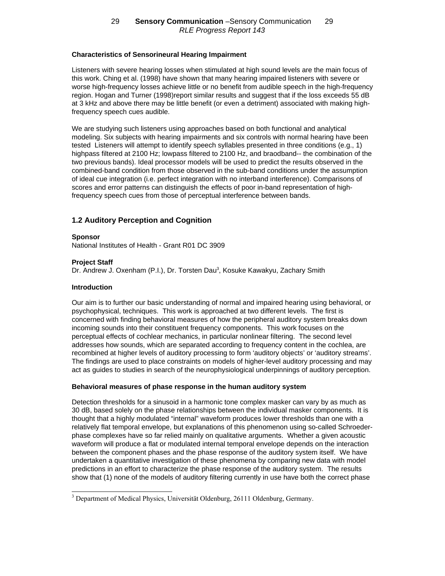## **Characteristics of Sensorineural Hearing Impairment**

Listeners with severe hearing losses when stimulated at high sound levels are the main focus of this work. Ching et al. (1998) have shown that many hearing impaired listeners with severe or worse high-frequency losses achieve little or no benefit from audible speech in the high-frequency region. Hogan and Turner (1998)report similar results and suggest that if the loss exceeds 55 dB at 3 kHz and above there may be little benefit (or even a detriment) associated with making highfrequency speech cues audible.

We are studying such listeners using approaches based on both functional and analytical modeling. Six subjects with hearing impairments and six controls with normal hearing have been tested Listeners will attempt to identify speech syllables presented in three conditions (e.g., 1) highpass filtered at 2100 Hz; lowpass filtered to 2100 Hz, and braodband-- the combination of the two previous bands). Ideal processor models will be used to predict the results observed in the combined-band condition from those observed in the sub-band conditions under the assumption of ideal cue integration (i.e. perfect integration with no interband interference). Comparisons of scores and error patterns can distinguish the effects of poor in-band representation of highfrequency speech cues from those of perceptual interference between bands.

# **1.2 Auditory Perception and Cognition**

#### **Sponsor**

National Institutes of Health - Grant R01 DC 3909

### **Project Staff**

Dr. Andrew J. Oxenham (P.I.), Dr. Torsten Dau<sup>3</sup>, Kosuke Kawakyu, Zachary Smith

### **Introduction**

 $\overline{a}$ 

Our aim is to further our basic understanding of normal and impaired hearing using behavioral, or psychophysical, techniques. This work is approached at two different levels. The first is concerned with finding behavioral measures of how the peripheral auditory system breaks down incoming sounds into their constituent frequency components. This work focuses on the perceptual effects of cochlear mechanics, in particular nonlinear filtering. The second level addresses how sounds, which are separated according to frequency content in the cochlea, are recombined at higher levels of auditory processing to form 'auditory objects' or 'auditory streams'. The findings are used to place constraints on models of higher-level auditory processing and may act as guides to studies in search of the neurophysiological underpinnings of auditory perception.

#### **Behavioral measures of phase response in the human auditory system**

Detection thresholds for a sinusoid in a harmonic tone complex masker can vary by as much as 30 dB, based solely on the phase relationships between the individual masker components. It is thought that a highly modulated "internal" waveform produces lower thresholds than one with a relatively flat temporal envelope, but explanations of this phenomenon using so-called Schroederphase complexes have so far relied mainly on qualitative arguments. Whether a given acoustic waveform will produce a flat or modulated internal temporal envelope depends on the interaction between the component phases and the phase response of the auditory system itself. We have undertaken a quantitative investigation of these phenomena by comparing new data with model predictions in an effort to characterize the phase response of the auditory system. The results show that (1) none of the models of auditory filtering currently in use have both the correct phase

<sup>&</sup>lt;sup>3</sup> Department of Medical Physics, Universität Oldenburg, 26111 Oldenburg, Germany.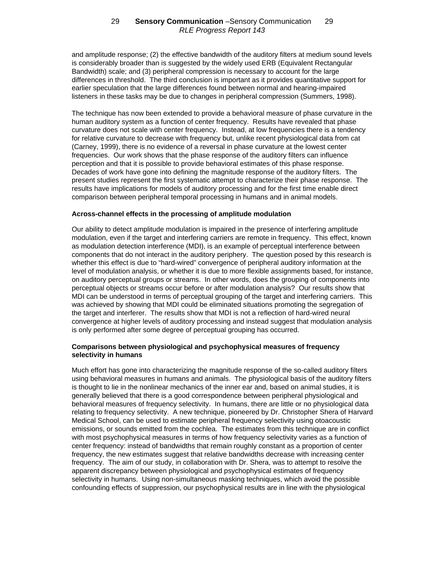and amplitude response; (2) the effective bandwidth of the auditory filters at medium sound levels is considerably broader than is suggested by the widely used ERB (Equivalent Rectangular Bandwidth) scale; and (3) peripheral compression is necessary to account for the large differences in threshold. The third conclusion is important as it provides quantitative support for earlier speculation that the large differences found between normal and hearing-impaired listeners in these tasks may be due to changes in peripheral compression (Summers, 1998).

The technique has now been extended to provide a behavioral measure of phase curvature in the human auditory system as a function of center frequency. Results have revealed that phase curvature does not scale with center frequency. Instead, at low frequencies there is a tendency for relative curvature to decrease with frequency but, unlike recent physiological data from cat (Carney, 1999), there is no evidence of a reversal in phase curvature at the lowest center frequencies. Our work shows that the phase response of the auditory filters can influence perception and that it is possible to provide behavioral estimates of this phase response. Decades of work have gone into defining the magnitude response of the auditory filters. The present studies represent the first systematic attempt to characterize their phase response. The results have implications for models of auditory processing and for the first time enable direct comparison between peripheral temporal processing in humans and in animal models.

### **Across-channel effects in the processing of amplitude modulation**

Our ability to detect amplitude modulation is impaired in the presence of interfering amplitude modulation, even if the target and interfering carriers are remote in frequency. This effect, known as modulation detection interference (MDI), is an example of perceptual interference between components that do not interact in the auditory periphery. The question posed by this research is whether this effect is due to "hard-wired" convergence of peripheral auditory information at the level of modulation analysis, or whether it is due to more flexible assignments based, for instance, on auditory perceptual groups or streams. In other words, does the grouping of components into perceptual objects or streams occur before or after modulation analysis? Our results show that MDI can be understood in terms of perceptual grouping of the target and interfering carriers. This was achieved by showing that MDI could be eliminated situations promoting the segregation of the target and interferer. The results show that MDI is not a reflection of hard-wired neural convergence at higher levels of auditory processing and instead suggest that modulation analysis is only performed after some degree of perceptual grouping has occurred.

## **Comparisons between physiological and psychophysical measures of frequency selectivity in humans**

Much effort has gone into characterizing the magnitude response of the so-called auditory filters using behavioral measures in humans and animals. The physiological basis of the auditory filters is thought to lie in the nonlinear mechanics of the inner ear and, based on animal studies, it is generally believed that there is a good correspondence between peripheral physiological and behavioral measures of frequency selectivity. In humans, there are little or no physiological data relating to frequency selectivity. A new technique, pioneered by Dr. Christopher Shera of Harvard Medical School, can be used to estimate peripheral frequency selectivity using otoacoustic emissions, or sounds emitted from the cochlea. The estimates from this technique are in conflict with most psychophysical measures in terms of how frequency selectivity varies as a function of center frequency: instead of bandwidths that remain roughly constant as a proportion of center frequency, the new estimates suggest that relative bandwidths decrease with increasing center frequency. The aim of our study, in collaboration with Dr. Shera, was to attempt to resolve the apparent discrepancy between physiological and psychophysical estimates of frequency selectivity in humans. Using non-simultaneous masking techniques, which avoid the possible confounding effects of suppression, our psychophysical results are in line with the physiological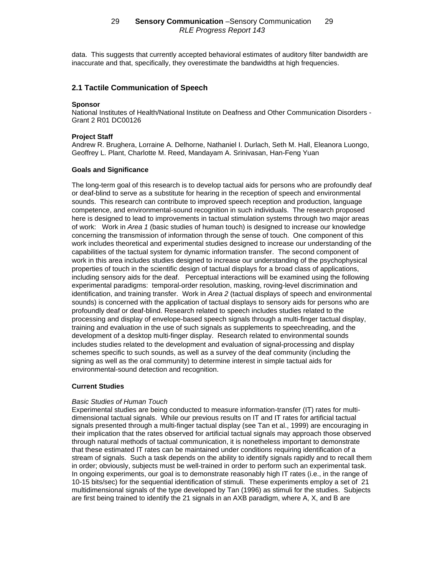data. This suggests that currently accepted behavioral estimates of auditory filter bandwidth are inaccurate and that, specifically, they overestimate the bandwidths at high frequencies.

## **2.1 Tactile Communication of Speech**

#### **Sponsor**

National Institutes of Health/National Institute on Deafness and Other Communication Disorders - Grant 2 R01 DC00126

#### **Project Staff**

Andrew R. Brughera, Lorraine A. Delhorne, Nathaniel I. Durlach, Seth M. Hall, Eleanora Luongo, Geoffrey L. Plant, Charlotte M. Reed, Mandayam A. Srinivasan, Han-Feng Yuan

#### **Goals and Significance**

The long-term goal of this research is to develop tactual aids for persons who are profoundly deaf or deaf-blind to serve as a substitute for hearing in the reception of speech and environmental sounds. This research can contribute to improved speech reception and production, language competence, and environmental-sound recognition in such individuals. The research proposed here is designed to lead to improvements in tactual stimulation systems through two major areas of work: Work in *Area 1* (basic studies of human touch) is designed to increase our knowledge concerning the transmission of information through the sense of touch. One component of this work includes theoretical and experimental studies designed to increase our understanding of the capabilities of the tactual system for dynamic information transfer. The second component of work in this area includes studies designed to increase our understanding of the psychophysical properties of touch in the scientific design of tactual displays for a broad class of applications, including sensory aids for the deaf. Perceptual interactions will be examined using the following experimental paradigms: temporal-order resolution, masking, roving-level discrimination and identification, and training transfer. Work in *Area 2* (tactual displays of speech and environmental sounds) is concerned with the application of tactual displays to sensory aids for persons who are profoundly deaf or deaf-blind. Research related to speech includes studies related to the processing and display of envelope-based speech signals through a multi-finger tactual display, training and evaluation in the use of such signals as supplements to speechreading, and the development of a desktop multi-finger display. Research related to environmental sounds includes studies related to the development and evaluation of signal-processing and display schemes specific to such sounds, as well as a survey of the deaf community (including the signing as well as the oral community) to determine interest in simple tactual aids for environmental-sound detection and recognition.

#### **Current Studies**

#### *Basic Studies of Human Touch*

Experimental studies are being conducted to measure information-transfer (IT) rates for multidimensional tactual signals. While our previous results on IT and IT rates for artificial tactual signals presented through a multi-finger tactual display (see Tan et al., 1999) are encouraging in their implication that the rates observed for artificial tactual signals may approach those observed through natural methods of tactual communication, it is nonetheless important to demonstrate that these estimated IT rates can be maintained under conditions requiring identification of a stream of signals. Such a task depends on the ability to identify signals rapidly and to recall them in order; obviously, subjects must be well-trained in order to perform such an experimental task. In ongoing experiments, our goal is to demonstrate reasonably high IT rates (i.e., in the range of 10-15 bits/sec) for the sequential identification of stimuli. These experiments employ a set of 21 multidimensional signals of the type developed by Tan (1996) as stimuli for the studies. Subjects are first being trained to identify the 21 signals in an AXB paradigm, where A, X, and B are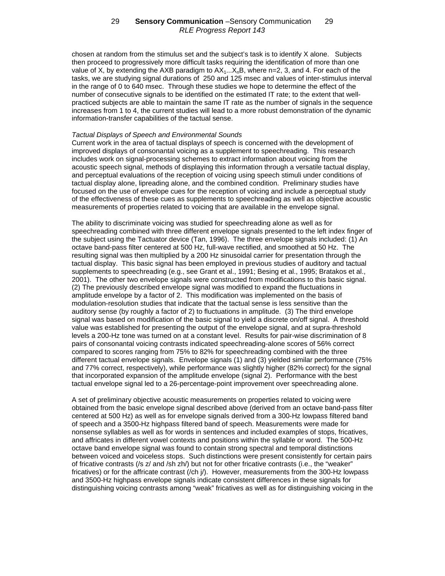chosen at random from the stimulus set and the subject's task is to identify X alone. Subjects then proceed to progressively more difficult tasks requiring the identification of more than one value of X, by extending the AXB paradigm to  $AX_1...X_nB$ , where n=2, 3, and 4. For each of the tasks, we are studying signal durations of 250 and 125 msec and values of inter-stimulus interval in the range of 0 to 640 msec. Through these studies we hope to determine the effect of the number of consecutive signals to be identified on the estimated IT rate; to the extent that wellpracticed subjects are able to maintain the same IT rate as the number of signals in the sequence increases from 1 to 4, the current studies will lead to a more robust demonstration of the dynamic information-transfer capabilities of the tactual sense.

#### *Tactual Displays of Speech and Environmental Sounds*

Current work in the area of tactual displays of speech is concerned with the development of improved displays of consonantal voicing as a supplement to speechreading. This research includes work on signal-processing schemes to extract information about voicing from the acoustic speech signal, methods of displaying this information through a versatile tactual display, and perceptual evaluations of the reception of voicing using speech stimuli under conditions of tactual display alone, lipreading alone, and the combined condition. Preliminary studies have focused on the use of envelope cues for the reception of voicing and include a perceptual study of the effectiveness of these cues as supplements to speechreading as well as objective acoustic measurements of properties related to voicing that are available in the envelope signal.

The ability to discriminate voicing was studied for speechreading alone as well as for speechreading combined with three different envelope signals presented to the left index finger of the subject using the Tactuator device (Tan, 1996). The three envelope signals included: (1) An octave band-pass filter centered at 500 Hz, full-wave rectified, and smoothed at 50 Hz. The resulting signal was then multiplied by a 200 Hz sinusoidal carrier for presentation through the tactual display. This basic signal has been employed in previous studies of auditory and tactual supplements to speechreading (e.g., see Grant et al., 1991; Besing et al., 1995; Bratakos et al., 2001). The other two envelope signals were constructed from modifications to this basic signal. (2) The previously described envelope signal was modified to expand the fluctuations in amplitude envelope by a factor of 2. This modification was implemented on the basis of modulation-resolution studies that indicate that the tactual sense is less sensitive than the auditory sense (by roughly a factor of 2) to fluctuations in amplitude. (3) The third envelope signal was based on modification of the basic signal to yield a discrete on/off signal. A threshold value was established for presenting the output of the envelope signal, and at supra-threshold levels a 200-Hz tone was turned on at a constant level. Results for pair-wise discrimination of 8 pairs of consonantal voicing contrasts indicated speechreading-alone scores of 56% correct compared to scores ranging from 75% to 82% for speechreading combined with the three different tactual envelope signals. Envelope signals (1) and (3) yielded similar performance (75% and 77% correct, respectively), while performance was slightly higher (82% correct) for the signal that incorporated expansion of the amplitude envelope (signal 2). Performance with the best tactual envelope signal led to a 26-percentage-point improvement over speechreading alone.

A set of preliminary objective acoustic measurements on properties related to voicing were obtained from the basic envelope signal described above (derived from an octave band-pass filter centered at 500 Hz) as well as for envelope signals derived from a 300-Hz lowpass filtered band of speech and a 3500-Hz highpass filtered band of speech. Measurements were made for nonsense syllables as well as for words in sentences and included examples of stops, fricatives, and affricates in different vowel contexts and positions within the syllable or word. The 500-Hz octave band envelope signal was found to contain strong spectral and temporal distinctions between voiced and voiceless stops. Such distinctions were present consistently for certain pairs of fricative contrasts (/s z/ and /sh zh/) but not for other fricative contrasts (i.e., the "weaker" fricatives) or for the affricate contrast (/ch j/). However, measurements from the 300-Hz lowpass and 3500-Hz highpass envelope signals indicate consistent differences in these signals for distinguishing voicing contrasts among "weak" fricatives as well as for distinguishing voicing in the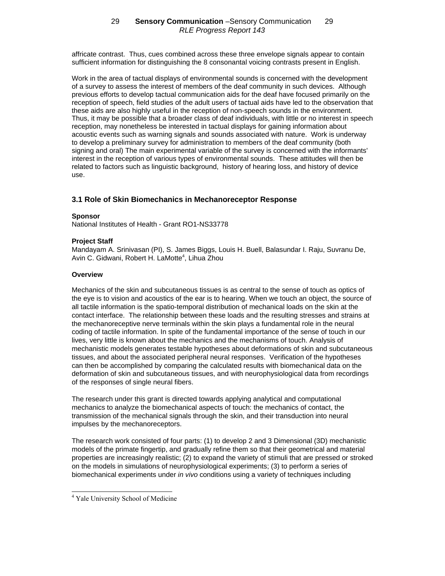affricate contrast. Thus, cues combined across these three envelope signals appear to contain sufficient information for distinguishing the 8 consonantal voicing contrasts present in English.

Work in the area of tactual displays of environmental sounds is concerned with the development of a survey to assess the interest of members of the deaf community in such devices. Although previous efforts to develop tactual communication aids for the deaf have focused primarily on the reception of speech, field studies of the adult users of tactual aids have led to the observation that these aids are also highly useful in the reception of non-speech sounds in the environment. Thus, it may be possible that a broader class of deaf individuals, with little or no interest in speech reception, may nonetheless be interested in tactual displays for gaining information about acoustic events such as warning signals and sounds associated with nature. Work is underway to develop a preliminary survey for administration to members of the deaf community (both signing and oral) The main experimental variable of the survey is concerned with the informants' interest in the reception of various types of environmental sounds. These attitudes will then be related to factors such as linguistic background, history of hearing loss, and history of device use.

# **3.1 Role of Skin Biomechanics in Mechanoreceptor Response**

## **Sponsor**

National Institutes of Health - Grant RO1-NS33778

# **Project Staff**

Mandayam A. Srinivasan (PI), S. James Biggs, Louis H. Buell, Balasundar I. Raju, Suvranu De, Avin C. Gidwani, Robert H. LaMotte<sup>4</sup>, Lihua Zhou

## **Overview**

Mechanics of the skin and subcutaneous tissues is as central to the sense of touch as optics of the eye is to vision and acoustics of the ear is to hearing. When we touch an object, the source of all tactile information is the spatio-temporal distribution of mechanical loads on the skin at the contact interface. The relationship between these loads and the resulting stresses and strains at the mechanoreceptive nerve terminals within the skin plays a fundamental role in the neural coding of tactile information. In spite of the fundamental importance of the sense of touch in our lives, very little is known about the mechanics and the mechanisms of touch. Analysis of mechanistic models generates testable hypotheses about deformations of skin and subcutaneous tissues, and about the associated peripheral neural responses. Verification of the hypotheses can then be accomplished by comparing the calculated results with biomechanical data on the deformation of skin and subcutaneous tissues, and with neurophysiological data from recordings of the responses of single neural fibers.

The research under this grant is directed towards applying analytical and computational mechanics to analyze the biomechanical aspects of touch: the mechanics of contact, the transmission of the mechanical signals through the skin, and their transduction into neural impulses by the mechanoreceptors.

The research work consisted of four parts: (1) to develop 2 and 3 Dimensional (3D) mechanistic models of the primate fingertip, and gradually refine them so that their geometrical and material properties are increasingly realistic; (2) to expand the variety of stimuli that are pressed or stroked on the models in simulations of neurophysiological experiments; (3) to perform a series of biomechanical experiments under *in vivo* conditions using a variety of techniques including

 $\overline{a}$ 

<sup>&</sup>lt;sup>4</sup> Yale University School of Medicine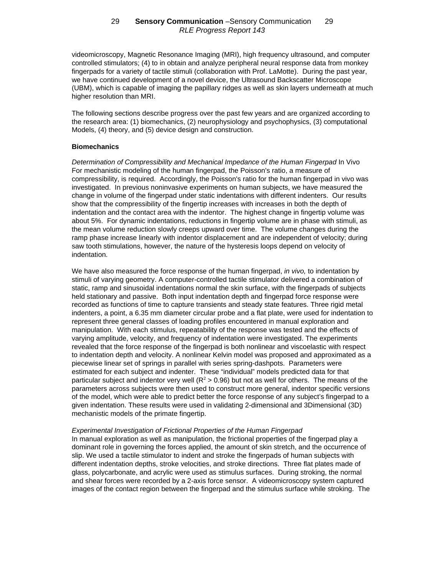videomicroscopy, Magnetic Resonance Imaging (MRI), high frequency ultrasound, and computer controlled stimulators; (4) to in obtain and analyze peripheral neural response data from monkey fingerpads for a variety of tactile stimuli (collaboration with Prof. LaMotte). During the past year, we have continued development of a novel device, the Ultrasound Backscatter Microscope (UBM), which is capable of imaging the papillary ridges as well as skin layers underneath at much higher resolution than MRI.

The following sections describe progress over the past few years and are organized according to the research area: (1) biomechanics, (2) neurophysiology and psychophysics, (3) computational Models, (4) theory, and (5) device design and construction.

### **Biomechanics**

*Determination of Compressibility and Mechanical Impedance of the Human Fingerpad* In Vivo For mechanistic modeling of the human fingerpad, the Poisson's ratio, a measure of compressibility, is required. Accordingly, the Poisson's ratio for the human fingerpad in vivo was investigated. In previous noninvasive experiments on human subjects, we have measured the change in volume of the fingerpad under static indentations with different indenters. Our results show that the compressibility of the fingertip increases with increases in both the depth of indentation and the contact area with the indentor. The highest change in fingertip volume was about 5%. For dynamic indentations, reductions in fingertip volume are in phase with stimuli, as the mean volume reduction slowly creeps upward over time. The volume changes during the ramp phase increase linearly with indentor displacement and are independent of velocity; during saw tooth stimulations, however, the nature of the hysteresis loops depend on velocity of indentation.

We have also measured the force response of the human fingerpad, *in vivo,* to indentation by stimuli of varying geometry. A computer-controlled tactile stimulator delivered a combination of static, ramp and sinusoidal indentations normal the skin surface, with the fingerpads of subjects held stationary and passive. Both input indentation depth and fingerpad force response were recorded as functions of time to capture transients and steady state features. Three rigid metal indenters, a point, a 6.35 mm diameter circular probe and a flat plate, were used for indentation to represent three general classes of loading profiles encountered in manual exploration and manipulation. With each stimulus, repeatability of the response was tested and the effects of varying amplitude, velocity, and frequency of indentation were investigated. The experiments revealed that the force response of the fingerpad is both nonlinear and viscoelastic with respect to indentation depth and velocity. A nonlinear Kelvin model was proposed and approximated as a piecewise linear set of springs in parallel with series spring-dashpots. Parameters were estimated for each subject and indenter. These "individual" models predicted data for that particular subject and indentor very well ( $R^2 > 0.96$ ) but not as well for others. The means of the parameters across subjects were then used to construct more general, indentor specific versions of the model, which were able to predict better the force response of any subject's fingerpad to a given indentation. These results were used in validating 2-dimensional and 3Dimensional (3D) mechanistic models of the primate fingertip.

#### *Experimental Investigation of Frictional Properties of the Human Fingerpad*

In manual exploration as well as manipulation, the frictional properties of the fingerpad play a dominant role in governing the forces applied, the amount of skin stretch, and the occurrence of slip. We used a tactile stimulator to indent and stroke the fingerpads of human subjects with different indentation depths, stroke velocities, and stroke directions. Three flat plates made of glass, polycarbonate, and acrylic were used as stimulus surfaces. During stroking, the normal and shear forces were recorded by a 2-axis force sensor. A videomicroscopy system captured images of the contact region between the fingerpad and the stimulus surface while stroking. The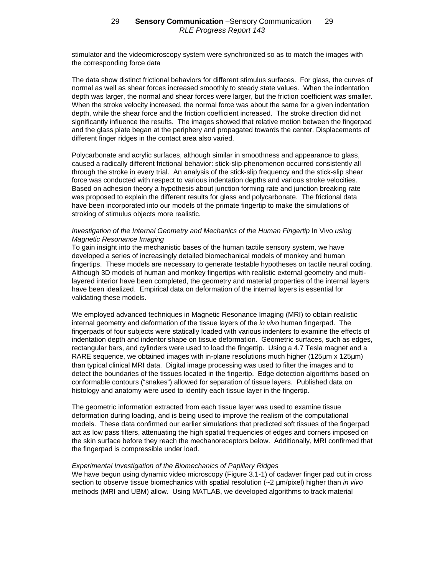stimulator and the videomicroscopy system were synchronized so as to match the images with the corresponding force data

The data show distinct frictional behaviors for different stimulus surfaces. For glass, the curves of normal as well as shear forces increased smoothly to steady state values. When the indentation depth was larger, the normal and shear forces were larger, but the friction coefficient was smaller. When the stroke velocity increased, the normal force was about the same for a given indentation depth, while the shear force and the friction coefficient increased. The stroke direction did not significantly influence the results. The images showed that relative motion between the fingerpad and the glass plate began at the periphery and propagated towards the center. Displacements of different finger ridges in the contact area also varied.

Polycarbonate and acrylic surfaces, although similar in smoothness and appearance to glass, caused a radically different frictional behavior: stick-slip phenomenon occurred consistently all through the stroke in every trial. An analysis of the stick-slip frequency and the stick-slip shear force was conducted with respect to various indentation depths and various stroke velocities. Based on adhesion theory a hypothesis about junction forming rate and junction breaking rate was proposed to explain the different results for glass and polycarbonate. The frictional data have been incorporated into our models of the primate fingertip to make the simulations of stroking of stimulus objects more realistic.

### *Investigation of the Internal Geometry and Mechanics of the Human Fingertip In Vivo using Magnetic Resonance Imaging*

To gain insight into the mechanistic bases of the human tactile sensory system, we have developed a series of increasingly detailed biomechanical models of monkey and human fingertips. These models are necessary to generate testable hypotheses on tactile neural coding. Although 3D models of human and monkey fingertips with realistic external geometry and multilayered interior have been completed, the geometry and material properties of the internal layers have been idealized. Empirical data on deformation of the internal layers is essential for validating these models.

We employed advanced techniques in Magnetic Resonance Imaging (MRI) to obtain realistic internal geometry and deformation of the tissue layers of the *in vivo* human fingerpad. The fingerpads of four subjects were statically loaded with various indenters to examine the effects of indentation depth and indentor shape on tissue deformation. Geometric surfaces, such as edges, rectangular bars, and cylinders were used to load the fingertip. Using a 4.7 Tesla magnet and a RARE sequence, we obtained images with in-plane resolutions much higher  $(125 \mu m \times 125 \mu m)$ than typical clinical MRI data. Digital image processing was used to filter the images and to detect the boundaries of the tissues located in the fingertip. Edge detection algorithms based on conformable contours ("snakes") allowed for separation of tissue layers. Published data on histology and anatomy were used to identify each tissue layer in the fingertip.

The geometric information extracted from each tissue layer was used to examine tissue deformation during loading, and is being used to improve the realism of the computational models. These data confirmed our earlier simulations that predicted soft tissues of the fingerpad act as low pass filters, attenuating the high spatial frequencies of edges and corners imposed on the skin surface before they reach the mechanoreceptors below. Additionally, MRI confirmed that the fingerpad is compressible under load.

#### *Experimental Investigation of the Biomechanics of Papillary Ridges*

We have begun using dynamic video microscopy (Figure 3.1-1) of cadaver finger pad cut in cross section to observe tissue biomechanics with spatial resolution (~2 μm/pixel) higher than *in vivo* methods (MRI and UBM) allow. Using MATLAB, we developed algorithms to track material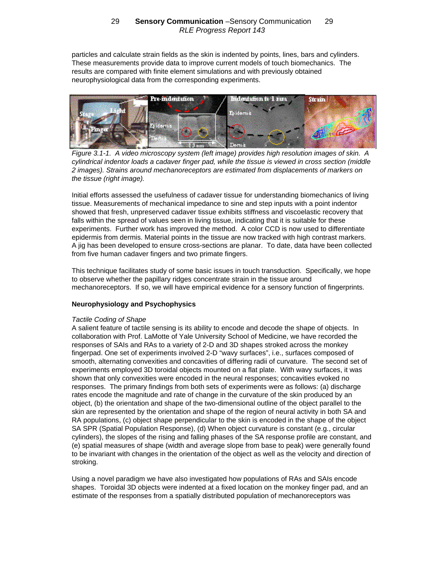particles and calculate strain fields as the skin is indented by points, lines, bars and cylinders. These measurements provide data to improve current models of touch biomechanics. The results are compared with finite element simulations and with previously obtained neurophysiological data from the corresponding experiments.



*Figure 3.1-1. A video microscopy system (left image) provides high resolution images of skin. A cylindrical indentor loads a cadaver finger pad, while the tissue is viewed in cross section (middle 2 images). Strains around mechanoreceptors are estimated from displacements of markers on the tissue (right image).*

Initial efforts assessed the usefulness of cadaver tissue for understanding biomechanics of living tissue. Measurements of mechanical impedance to sine and step inputs with a point indentor showed that fresh, unpreserved cadaver tissue exhibits stiffness and viscoelastic recovery that falls within the spread of values seen in living tissue, indicating that it is suitable for these experiments. Further work has improved the method. A color CCD is now used to differentiate epidermis from dermis. Material points in the tissue are now tracked with high contrast markers. A jig has been developed to ensure cross-sections are planar. To date, data have been collected from five human cadaver fingers and two primate fingers.

This technique facilitates study of some basic issues in touch transduction. Specifically, we hope to observe whether the papillary ridges concentrate strain in the tissue around mechanoreceptors. If so, we will have empirical evidence for a sensory function of fingerprints.

## **Neurophysiology and Psychophysics**

## *Tactile Coding of Shape*

A salient feature of tactile sensing is its ability to encode and decode the shape of objects. In collaboration with Prof. LaMotte of Yale University School of Medicine, we have recorded the responses of SAIs and RAs to a variety of 2-D and 3D shapes stroked across the monkey fingerpad. One set of experiments involved 2-D "wavy surfaces", i.e., surfaces composed of smooth, alternating convexities and concavities of differing radii of curvature. The second set of experiments employed 3D toroidal objects mounted on a flat plate. With wavy surfaces, it was shown that only convexities were encoded in the neural responses; concavities evoked no responses. The primary findings from both sets of experiments were as follows: (a) discharge rates encode the magnitude and rate of change in the curvature of the skin produced by an object, (b) the orientation and shape of the two-dimensional outline of the object parallel to the skin are represented by the orientation and shape of the region of neural activity in both SA and RA populations, (c) object shape perpendicular to the skin is encoded in the shape of the object SA SPR (Spatial Population Response), (d) When object curvature is constant (e.g., circular cylinders), the slopes of the rising and falling phases of the SA response profile are constant, and (e) spatial measures of shape (width and average slope from base to peak) were generally found to be invariant with changes in the orientation of the object as well as the velocity and direction of stroking.

Using a novel paradigm we have also investigated how populations of RAs and SAIs encode shapes. Toroidal 3D objects were indented at a fixed location on the monkey finger pad, and an estimate of the responses from a spatially distributed population of mechanoreceptors was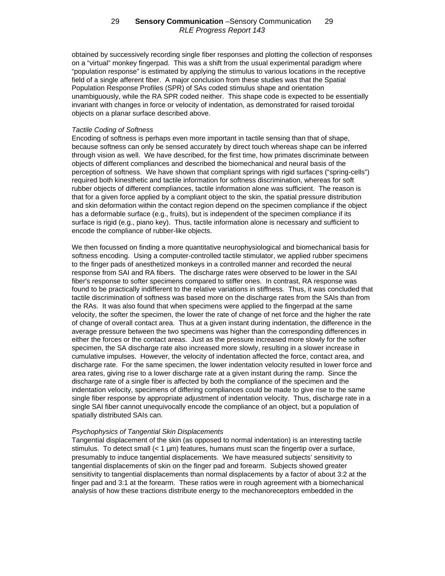obtained by successively recording single fiber responses and plotting the collection of responses on a "virtual" monkey fingerpad. This was a shift from the usual experimental paradigm where "population response" is estimated by applying the stimulus to various locations in the receptive field of a single afferent fiber. A major conclusion from these studies was that the Spatial Population Response Profiles (SPR) of SAs coded stimulus shape and orientation unambiguously, while the RA SPR coded neither. This shape code is expected to be essentially invariant with changes in force or velocity of indentation, as demonstrated for raised toroidal objects on a planar surface described above.

#### *Tactile Coding of Softness*

Encoding of softness is perhaps even more important in tactile sensing than that of shape, because softness can only be sensed accurately by direct touch whereas shape can be inferred through vision as well. We have described, for the first time, how primates discriminate between objects of different compliances and described the biomechanical and neural basis of the perception of softness. We have shown that compliant springs with rigid surfaces ("spring-cells") required both kinesthetic and tactile information for softness discrimination, whereas for soft rubber objects of different compliances, tactile information alone was sufficient. The reason is that for a given force applied by a compliant object to the skin, the spatial pressure distribution and skin deformation within the contact region depend on the specimen compliance if the object has a deformable surface (e.g., fruits), but is independent of the specimen compliance if its surface is rigid (e.g., piano key). Thus, tactile information alone is necessary and sufficient to encode the compliance of rubber-like objects.

We then focussed on finding a more quantitative neurophysiological and biomechanical basis for softness encoding. Using a computer-controlled tactile stimulator, we applied rubber specimens to the finger pads of anesthetized monkeys in a controlled manner and recorded the neural response from SAI and RA fibers. The discharge rates were observed to be lower in the SAI fiber's response to softer specimens compared to stiffer ones. In contrast, RA response was found to be practically indifferent to the relative variations in stiffness. Thus, it was concluded that tactile discrimination of softness was based more on the discharge rates from the SAIs than from the RAs. It was also found that when specimens were applied to the fingerpad at the same velocity, the softer the specimen, the lower the rate of change of net force and the higher the rate of change of overall contact area. Thus at a given instant during indentation, the difference in the average pressure between the two specimens was higher than the corresponding differences in either the forces or the contact areas. Just as the pressure increased more slowly for the softer specimen, the SA discharge rate also increased more slowly, resulting in a slower increase in cumulative impulses. However, the velocity of indentation affected the force, contact area, and discharge rate. For the same specimen, the lower indentation velocity resulted in lower force and area rates, giving rise to a lower discharge rate at a given instant during the ramp. Since the discharge rate of a single fiber is affected by both the compliance of the specimen and the indentation velocity, specimens of differing compliances could be made to give rise to the same single fiber response by appropriate adjustment of indentation velocity. Thus, discharge rate in a single SAI fiber cannot unequivocally encode the compliance of an object, but a population of spatially distributed SAIs can.

#### *Psychophysics of Tangential Skin Displacements*

Tangential displacement of the skin (as opposed to normal indentation) is an interesting tactile stimulus. To detect small  $\left\langle \langle 1 \rangle \right\rangle$  features, humans must scan the fingertip over a surface, presumably to induce tangential displacements. We have measured subjects' sensitivity to tangential displacements of skin on the finger pad and forearm. Subjects showed greater sensitivity to tangential displacements than normal displacements by a factor of about 3:2 at the finger pad and 3:1 at the forearm. These ratios were in rough agreement with a biomechanical analysis of how these tractions distribute energy to the mechanoreceptors embedded in the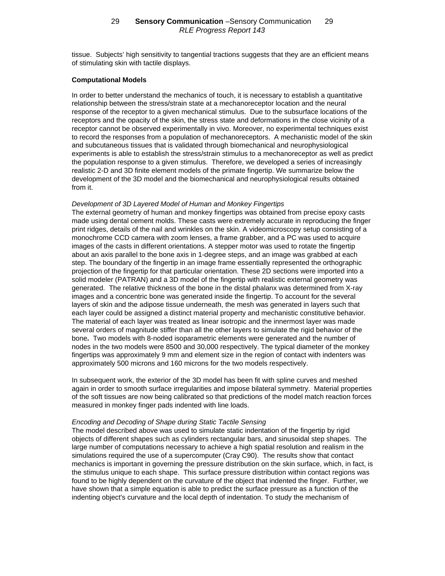tissue. Subjects' high sensitivity to tangential tractions suggests that they are an efficient means of stimulating skin with tactile displays.

#### **Computational Models**

In order to better understand the mechanics of touch, it is necessary to establish a quantitative relationship between the stress/strain state at a mechanoreceptor location and the neural response of the receptor to a given mechanical stimulus. Due to the subsurface locations of the receptors and the opacity of the skin, the stress state and deformations in the close vicinity of a receptor cannot be observed experimentally in vivo. Moreover, no experimental techniques exist to record the responses from a population of mechanoreceptors. A mechanistic model of the skin and subcutaneous tissues that is validated through biomechanical and neurophysiological experiments is able to establish the stress/strain stimulus to a mechanoreceptor as well as predict the population response to a given stimulus. Therefore, we developed a series of increasingly realistic 2-D and 3D finite element models of the primate fingertip. We summarize below the development of the 3D model and the biomechanical and neurophysiological results obtained from it.

#### *Development of 3D Layered Model of Human and Monkey Fingertips*

The external geometry of human and monkey fingertips was obtained from precise epoxy casts made using dental cement molds. These casts were extremely accurate in reproducing the finger print ridges, details of the nail and wrinkles on the skin. A videomicroscopy setup consisting of a monochrome CCD camera with zoom lenses, a frame grabber, and a PC was used to acquire images of the casts in different orientations. A stepper motor was used to rotate the fingertip about an axis parallel to the bone axis in 1-degree steps, and an image was grabbed at each step. The boundary of the fingertip in an image frame essentially represented the orthographic projection of the fingertip for that particular orientation. These 2D sections were imported into a solid modeler (PATRAN) and a 3D model of the fingertip with realistic external geometry was generated. The relative thickness of the bone in the distal phalanx was determined from X-ray images and a concentric bone was generated inside the fingertip. To account for the several layers of skin and the adipose tissue underneath, the mesh was generated in layers such that each layer could be assigned a distinct material property and mechanistic constitutive behavior. The material of each layer was treated as linear isotropic and the innermost layer was made several orders of magnitude stiffer than all the other layers to simulate the rigid behavior of the bone**.** Two models with 8-noded isoparametric elements were generated and the number of nodes in the two models were 8500 and 30,000 respectively. The typical diameter of the monkey fingertips was approximately 9 mm and element size in the region of contact with indenters was approximately 500 microns and 160 microns for the two models respectively.

In subsequent work, the exterior of the 3D model has been fit with spline curves and meshed again in order to smooth surface irregularities and impose bilateral symmetry. Material properties of the soft tissues are now being calibrated so that predictions of the model match reaction forces measured in monkey finger pads indented with line loads.

#### *Encoding and Decoding of Shape during Static Tactile Sensing*

The model described above was used to simulate static indentation of the fingertip by rigid objects of different shapes such as cylinders rectangular bars, and sinusoidal step shapes. The large number of computations necessary to achieve a high spatial resolution and realism in the simulations required the use of a supercomputer (Cray C90). The results show that contact mechanics is important in governing the pressure distribution on the skin surface, which, in fact, is the stimulus unique to each shape. This surface pressure distribution within contact regions was found to be highly dependent on the curvature of the object that indented the finger. Further, we have shown that a simple equation is able to predict the surface pressure as a function of the indenting object's curvature and the local depth of indentation. To study the mechanism of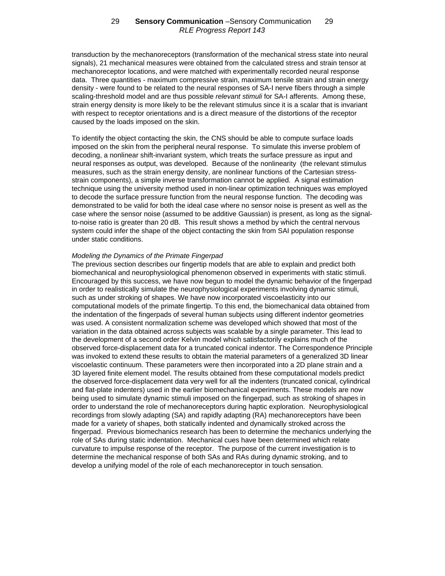transduction by the mechanoreceptors (transformation of the mechanical stress state into neural signals), 21 mechanical measures were obtained from the calculated stress and strain tensor at mechanoreceptor locations, and were matched with experimentally recorded neural response data. Three quantities - maximum compressive strain, maximum tensile strain and strain energy density - were found to be related to the neural responses of SA-I nerve fibers through a simple scaling-threshold model and are thus possible *relevant stimuli* for SA-I afferents. Among these, strain energy density is more likely to be the relevant stimulus since it is a scalar that is invariant with respect to receptor orientations and is a direct measure of the distortions of the receptor caused by the loads imposed on the skin.

To identify the object contacting the skin, the CNS should be able to compute surface loads imposed on the skin from the peripheral neural response. To simulate this inverse problem of decoding, a nonlinear shift-invariant system, which treats the surface pressure as input and neural responses as output, was developed. Because of the nonlinearity (the relevant stimulus measures, such as the strain energy density, are nonlinear functions of the Cartesian stressstrain components), a simple inverse transformation cannot be applied. A signal estimation technique using the university method used in non-linear optimization techniques was employed to decode the surface pressure function from the neural response function. The decoding was demonstrated to be valid for both the ideal case where no sensor noise is present as well as the case where the sensor noise (assumed to be additive Gaussian) is present, as long as the signalto-noise ratio is greater than 20 dB. This result shows a method by which the central nervous system could infer the shape of the object contacting the skin from SAI population response under static conditions.

#### *Modeling the Dynamics of the Primate Fingerpad*

The previous section describes our fingertip models that are able to explain and predict both biomechanical and neurophysiological phenomenon observed in experiments with static stimuli. Encouraged by this success, we have now begun to model the dynamic behavior of the fingerpad in order to realistically simulate the neurophysiological experiments involving dynamic stimuli, such as under stroking of shapes. We have now incorporated viscoelasticity into our computational models of the primate fingertip. To this end, the biomechanical data obtained from the indentation of the fingerpads of several human subjects using different indentor geometries was used. A consistent normalization scheme was developed which showed that most of the variation in the data obtained across subjects was scalable by a single parameter. This lead to the development of a second order Kelvin model which satisfactorily explains much of the observed force-displacement data for a truncated conical indentor. The Correspondence Principle was invoked to extend these results to obtain the material parameters of a generalized 3D linear viscoelastic continuum. These parameters were then incorporated into a 2D plane strain and a 3D layered finite element model. The results obtained from these computational models predict the observed force-displacement data very well for all the indenters (truncated conical, cylindrical and flat-plate indenters) used in the earlier biomechanical experiments. These models are now being used to simulate dynamic stimuli imposed on the fingerpad, such as stroking of shapes in order to understand the role of mechanoreceptors during haptic exploration. Neurophysiological recordings from slowly adapting (SA) and rapidly adapting (RA) mechanoreceptors have been made for a variety of shapes, both statically indented and dynamically stroked across the fingerpad. Previous biomechanics research has been to determine the mechanics underlying the role of SAs during static indentation. Mechanical cues have been determined which relate curvature to impulse response of the receptor. The purpose of the current investigation is to determine the mechanical response of both SAs and RAs during dynamic stroking, and to develop a unifying model of the role of each mechanoreceptor in touch sensation.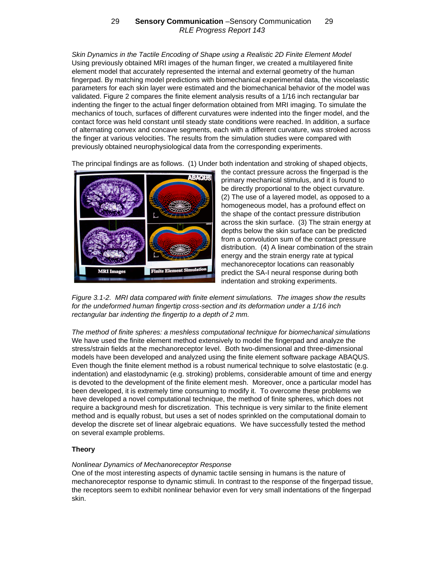*Skin Dynamics in the Tactile Encoding of Shape using a Realistic 2D Finite Element Model* Using previously obtained MRI images of the human finger, we created a multilayered finite element model that accurately represented the internal and external geometry of the human fingerpad. By matching model predictions with biomechanical experimental data, the viscoelastic parameters for each skin layer were estimated and the biomechanical behavior of the model was validated. Figure 2 compares the finite element analysis results of a 1/16 inch rectangular bar indenting the finger to the actual finger deformation obtained from MRI imaging. To simulate the mechanics of touch, surfaces of different curvatures were indented into the finger model, and the contact force was held constant until steady state conditions were reached. In addition, a surface of alternating convex and concave segments, each with a different curvature, was stroked across the finger at various velocities. The results from the simulation studies were compared with previously obtained neurophysiological data from the corresponding experiments.

The principal findings are as follows. (1) Under both indentation and stroking of shaped objects,



the contact pressure across the fingerpad is the primary mechanical stimulus, and it is found to be directly proportional to the object curvature. (2) The use of a layered model, as opposed to a homogeneous model, has a profound effect on the shape of the contact pressure distribution across the skin surface. (3) The strain energy at depths below the skin surface can be predicted from a convolution sum of the contact pressure distribution. (4) A linear combination of the strain energy and the strain energy rate at typical mechanoreceptor locations can reasonably predict the SA-I neural response during both indentation and stroking experiments.

*Figure 3.1-2. MRI data compared with finite element simulations. The images show the results for the undeformed human fingertip cross-section and its deformation under a 1/16 inch rectangular bar indenting the fingertip to a depth of 2 mm.*

*The method of finite spheres: a meshless computational technique for biomechanical simulations* We have used the finite element method extensively to model the fingerpad and analyze the stress/strain fields at the mechanoreceptor level. Both two-dimensional and three-dimensional models have been developed and analyzed using the finite element software package ABAQUS. Even though the finite element method is a robust numerical technique to solve elastostatic (e.g. indentation) and elastodynamic (e.g. stroking) problems, considerable amount of time and energy is devoted to the development of the finite element mesh. Moreover, once a particular model has been developed, it is extremely time consuming to modify it. To overcome these problems we have developed a novel computational technique, the method of finite spheres, which does not require a background mesh for discretization. This technique is very similar to the finite element method and is equally robust, but uses a set of nodes sprinkled on the computational domain to develop the discrete set of linear algebraic equations. We have successfully tested the method on several example problems.

## **Theory**

## *Nonlinear Dynamics of Mechanoreceptor Response*

One of the most interesting aspects of dynamic tactile sensing in humans is the nature of mechanoreceptor response to dynamic stimuli. In contrast to the response of the fingerpad tissue, the receptors seem to exhibit nonlinear behavior even for very small indentations of the fingerpad skin.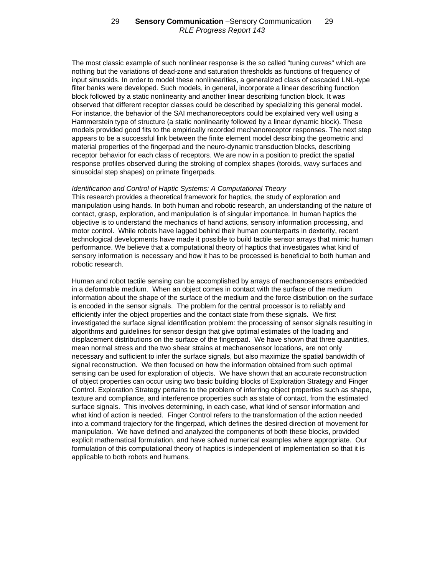The most classic example of such nonlinear response is the so called "tuning curves" which are nothing but the variations of dead-zone and saturation thresholds as functions of frequency of input sinusoids. In order to model these nonlinearities, a generalized class of cascaded LNL-type filter banks were developed. Such models, in general, incorporate a linear describing function block followed by a static nonlinearity and another linear describing function block. It was observed that different receptor classes could be described by specializing this general model. For instance, the behavior of the SAI mechanoreceptors could be explained very well using a Hammerstein type of structure (a static nonlinearity followed by a linear dynamic block). These models provided good fits to the empirically recorded mechanoreceptor responses. The next step appears to be a successful link between the finite element model describing the geometric and material properties of the fingerpad and the neuro-dynamic transduction blocks, describing receptor behavior for each class of receptors. We are now in a position to predict the spatial response profiles observed during the stroking of complex shapes (toroids, wavy surfaces and sinusoidal step shapes) on primate fingerpads.

#### *Identification and Control of Haptic Systems: A Computational Theory*

This research provides a theoretical framework for haptics, the study of exploration and manipulation using hands. In both human and robotic research, an understanding of the nature of contact, grasp, exploration, and manipulation is of singular importance. In human haptics the objective is to understand the mechanics of hand actions, sensory information processing, and motor control. While robots have lagged behind their human counterparts in dexterity, recent technological developments have made it possible to build tactile sensor arrays that mimic human performance. We believe that a computational theory of haptics that investigates what kind of sensory information is necessary and how it has to be processed is beneficial to both human and robotic research.

Human and robot tactile sensing can be accomplished by arrays of mechanosensors embedded in a deformable medium. When an object comes in contact with the surface of the medium information about the shape of the surface of the medium and the force distribution on the surface is encoded in the sensor signals. The problem for the central processor is to reliably and efficiently infer the object properties and the contact state from these signals. We first investigated the surface signal identification problem: the processing of sensor signals resulting in algorithms and guidelines for sensor design that give optimal estimates of the loading and displacement distributions on the surface of the fingerpad. We have shown that three quantities, mean normal stress and the two shear strains at mechanosensor locations, are not only necessary and sufficient to infer the surface signals, but also maximize the spatial bandwidth of signal reconstruction. We then focused on how the information obtained from such optimal sensing can be used for exploration of objects. We have shown that an accurate reconstruction of object properties can occur using two basic building blocks of Exploration Strategy and Finger Control. Exploration Strategy pertains to the problem of inferring object properties such as shape, texture and compliance, and interference properties such as state of contact, from the estimated surface signals. This involves determining, in each case, what kind of sensor information and what kind of action is needed. Finger Control refers to the transformation of the action needed into a command trajectory for the fingerpad, which defines the desired direction of movement for manipulation. We have defined and analyzed the components of both these blocks, provided explicit mathematical formulation, and have solved numerical examples where appropriate. Our formulation of this computational theory of haptics is independent of implementation so that it is applicable to both robots and humans.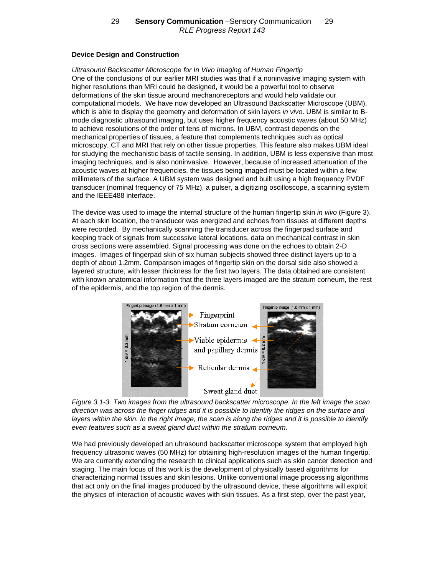## **Device Design and Construction**

*Ultrasound Backscatter Microscope for In Vivo Imaging of Human Fingertip* One of the conclusions of our earlier MRI studies was that if a noninvasive imaging system with higher resolutions than MRI could be designed, it would be a powerful tool to observe deformations of the skin tissue around mechanoreceptors and would help validate our computational models. We have now developed an Ultrasound Backscatter Microscope (UBM), which is able to display the geometry and deformation of skin layers *in vivo*. UBM is similar to Bmode diagnostic ultrasound imaging, but uses higher frequency acoustic waves (about 50 MHz) to achieve resolutions of the order of tens of microns. In UBM, contrast depends on the mechanical properties of tissues, a feature that complements techniques such as optical microscopy, CT and MRI that rely on other tissue properties. This feature also makes UBM ideal for studying the mechanistic basis of tactile sensing. In addition, UBM is less expensive than most imaging techniques, and is also noninvasive. However, because of increased attenuation of the acoustic waves at higher frequencies, the tissues being imaged must be located within a few millimeters of the surface. A UBM system was designed and built using a high frequency PVDF transducer (nominal frequency of 75 MHz), a pulser, a digitizing oscilloscope, a scanning system and the IEEE488 interface.

The device was used to image the internal structure of the human fingertip skin *in vivo* (Figure 3). At each skin location, the transducer was energized and echoes from tissues at different depths were recorded. By mechanically scanning the transducer across the fingerpad surface and keeping track of signals from successive lateral locations, data on mechanical contrast in skin cross sections were assembled. Signal processing was done on the echoes to obtain 2-D images. Images of fingerpad skin of six human subjects showed three distinct layers up to a depth of about 1.2mm. Comparison images of fingertip skin on the dorsal side also showed a layered structure, with lesser thickness for the first two layers. The data obtained are consistent with known anatomical information that the three layers imaged are the stratum corneum, the rest of the epidermis, and the top region of the dermis.



*Figure 3.1-3. Two images from the ultrasound backscatter microscope. In the left image the scan direction was across the finger ridges and it is possible to identify the ridges on the surface and layers within the skin. In the right image, the scan is along the ridges and it is possible to identify even features such as a sweat gland duct within the stratum corneum.*

We had previously developed an ultrasound backscatter microscope system that employed high frequency ultrasonic waves (50 MHz) for obtaining high-resolution images of the human fingertip. We are currently extending the research to clinical applications such as skin cancer detection and staging. The main focus of this work is the development of physically based algorithms for characterizing normal tissues and skin lesions. Unlike conventional image processing algorithms that act only on the final images produced by the ultrasound device, these algorithms will exploit the physics of interaction of acoustic waves with skin tissues. As a first step, over the past year,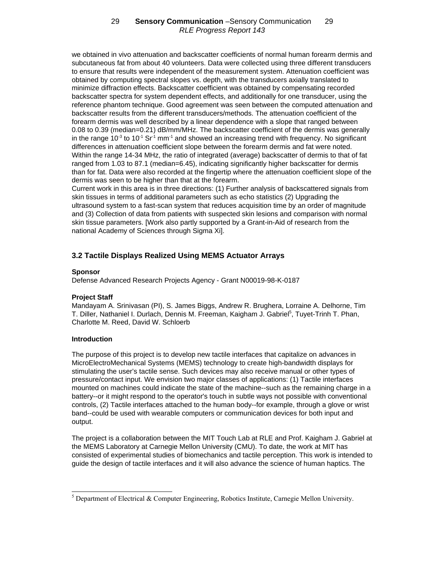we obtained in vivo attenuation and backscatter coefficients of normal human forearm dermis and subcutaneous fat from about 40 volunteers. Data were collected using three different transducers to ensure that results were independent of the measurement system. Attenuation coefficient was obtained by computing spectral slopes vs. depth, with the transducers axially translated to minimize diffraction effects. Backscatter coefficient was obtained by compensating recorded backscatter spectra for system dependent effects, and additionally for one transducer, using the reference phantom technique. Good agreement was seen between the computed attenuation and backscatter results from the different transducers/methods. The attenuation coefficient of the forearm dermis was well described by a linear dependence with a slope that ranged between 0.08 to 0.39 (median=0.21) dB/mm/MHz. The backscatter coefficient of the dermis was generally in the range  $10^{-3}$  to  $10^{-1}$  Sr<sup>1</sup> mm<sup>-1</sup> and showed an increasing trend with frequency. No significant differences in attenuation coefficient slope between the forearm dermis and fat were noted. Within the range 14-34 MHz, the ratio of integrated (average) backscatter of dermis to that of fat ranged from 1.03 to 87.1 (median=6.45), indicating significantly higher backscatter for dermis than for fat. Data were also recorded at the fingertip where the attenuation coefficient slope of the dermis was seen to be higher than that at the forearm.

Current work in this area is in three directions: (1) Further analysis of backscattered signals from skin tissues in terms of additional parameters such as echo statistics (2) Upgrading the ultrasound system to a fast-scan system that reduces acquisition time by an order of magnitude and (3) Collection of data from patients with suspected skin lesions and comparison with normal skin tissue parameters. [Work also partly supported by a Grant-in-Aid of research from the national Academy of Sciences through Sigma Xi].

# **3.2 Tactile Displays Realized Using MEMS Actuator Arrays**

### **Sponsor**

Defense Advanced Research Projects Agency - Grant N00019-98-K-0187

## **Project Staff**

Mandayam A. Srinivasan (PI), S. James Biggs, Andrew R. Brughera, Lorraine A. Delhorne, Tim T. Diller, Nathaniel I. Durlach, Dennis M. Freeman, Kaigham J. Gabriel<sup>5</sup>, Tuyet-Trinh T. Phan, Charlotte M. Reed, David W. Schloerb

## **Introduction**

The purpose of this project is to develop new tactile interfaces that capitalize on advances in MicroElectroMechanical Systems (MEMS) technology to create high-bandwidth displays for stimulating the user's tactile sense. Such devices may also receive manual or other types of pressure/contact input. We envision two major classes of applications: (1) Tactile interfaces mounted on machines could indicate the state of the machine--such as the remaining charge in a battery--or it might respond to the operator's touch in subtle ways not possible with conventional controls, (2) Tactile interfaces attached to the human body--for example, through a glove or wrist band--could be used with wearable computers or communication devices for both input and output.

The project is a collaboration between the MIT Touch Lab at RLE and Prof. Kaigham J. Gabriel at the MEMS Laboratory at Carnegie Mellon University (CMU). To date, the work at MIT has consisted of experimental studies of biomechanics and tactile perception. This work is intended to guide the design of tactile interfaces and it will also advance the science of human haptics. The

 5 Department of Electrical & Computer Engineering, Robotics Institute, Carnegie Mellon University.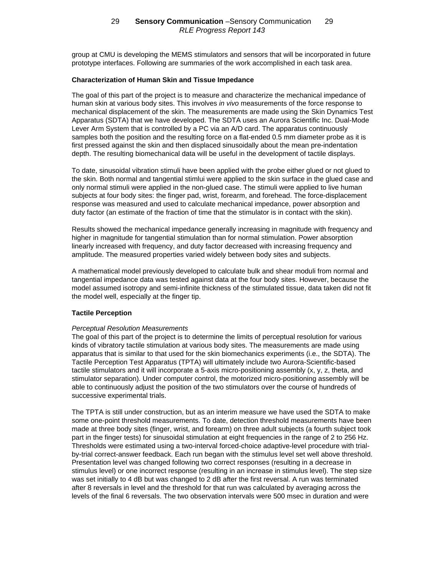group at CMU is developing the MEMS stimulators and sensors that will be incorporated in future prototype interfaces. Following are summaries of the work accomplished in each task area.

### **Characterization of Human Skin and Tissue Impedance**

The goal of this part of the project is to measure and characterize the mechanical impedance of human skin at various body sites. This involves *in vivo* measurements of the force response to mechanical displacement of the skin. The measurements are made using the Skin Dynamics Test Apparatus (SDTA) that we have developed. The SDTA uses an Aurora Scientific Inc. Dual-Mode Lever Arm System that is controlled by a PC via an A/D card. The apparatus continuously samples both the position and the resulting force on a flat-ended 0.5 mm diameter probe as it is first pressed against the skin and then displaced sinusoidally about the mean pre-indentation depth. The resulting biomechanical data will be useful in the development of tactile displays.

To date, sinusoidal vibration stimuli have been applied with the probe either glued or not glued to the skin. Both normal and tangential stimlui were applied to the skin surface in the glued case and only normal stimuli were applied in the non-glued case. The stimuli were applied to live human subjects at four body sites: the finger pad, wrist, forearm, and forehead. The force-displacement response was measured and used to calculate mechanical impedance, power absorption and duty factor (an estimate of the fraction of time that the stimulator is in contact with the skin).

Results showed the mechanical impedance generally increasing in magnitude with frequency and higher in magnitude for tangential stimulation than for normal stimulation. Power absorption linearly increased with frequency, and duty factor decreased with increasing frequency and amplitude. The measured properties varied widely between body sites and subjects.

A mathematical model previously developed to calculate bulk and shear moduli from normal and tangential impedance data was tested against data at the four body sites. However, because the model assumed isotropy and semi-infinite thickness of the stimulated tissue, data taken did not fit the model well, especially at the finger tip.

## **Tactile Perception**

#### *Perceptual Resolution Measurements*

The goal of this part of the project is to determine the limits of perceptual resolution for various kinds of vibratory tactile stimulation at various body sites. The measurements are made using apparatus that is similar to that used for the skin biomechanics experiments (i.e., the SDTA). The Tactile Perception Test Apparatus (TPTA) will ultimately include two Aurora-Scientific-based tactile stimulators and it will incorporate a 5-axis micro-positioning assembly (x, y, z, theta, and stimulator separation). Under computer control, the motorized micro-positioning assembly will be able to continuously adjust the position of the two stimulators over the course of hundreds of successive experimental trials.

The TPTA is still under construction, but as an interim measure we have used the SDTA to make some one-point threshold measurements. To date, detection threshold measurements have been made at three body sites (finger, wrist, and forearm) on three adult subjects (a fourth subject took part in the finger tests) for sinusoidal stimulation at eight frequencies in the range of 2 to 256 Hz. Thresholds were estimated using a two-interval forced-choice adaptive-level procedure with trialby-trial correct-answer feedback. Each run began with the stimulus level set well above threshold. Presentation level was changed following two correct responses (resulting in a decrease in stimulus level) or one incorrect response (resulting in an increase in stimulus level). The step size was set initially to 4 dB but was changed to 2 dB after the first reversal. A run was terminated after 8 reversals in level and the threshold for that run was calculated by averaging across the levels of the final 6 reversals. The two observation intervals were 500 msec in duration and were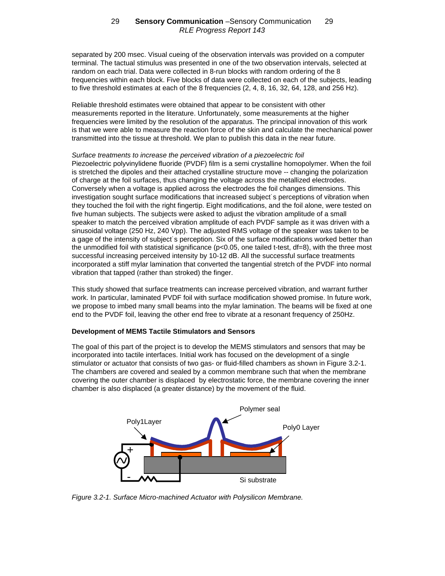separated by 200 msec. Visual cueing of the observation intervals was provided on a computer terminal. The tactual stimulus was presented in one of the two observation intervals, selected at random on each trial. Data were collected in 8-run blocks with random ordering of the 8 frequencies within each block. Five blocks of data were collected on each of the subjects, leading to five threshold estimates at each of the 8 frequencies (2, 4, 8, 16, 32, 64, 128, and 256 Hz).

Reliable threshold estimates were obtained that appear to be consistent with other measurements reported in the literature. Unfortunately, some measurements at the higher frequencies were limited by the resolution of the apparatus. The principal innovation of this work is that we were able to measure the reaction force of the skin and calculate the mechanical power transmitted into the tissue at threshold. We plan to publish this data in the near future.

*Surface treatments to increase the perceived vibration of a piezoelectric foil* Piezoelectric polyvinylidene fluoride (PVDF) film is a semi crystalline homopolymer. When the foil is stretched the dipoles and their attached crystalline structure move -- changing the polarization of charge at the foil surfaces, thus changing the voltage across the metallized electrodes. Conversely when a voltage is applied across the electrodes the foil changes dimensions. This investigation sought surface modifications that increased subject˙s perceptions of vibration when they touched the foil with the right fingertip. Eight modifications, and the foil alone, were tested on five human subjects. The subjects were asked to adjust the vibration amplitude of a small speaker to match the perceived vibration amplitude of each PVDF sample as it was driven with a sinusoidal voltage (250 Hz, 240 Vpp). The adjusted RMS voltage of the speaker was taken to be a gage of the intensity of subject˙s perception. Six of the surface modifications worked better than the unmodified foil with statistical significance (p<0.05, one tailed t-test, df=8), with the three most successful increasing perceived intensity by 10-12 dB. All the successful surface treatments incorporated a stiff mylar lamination that converted the tangential stretch of the PVDF into normal vibration that tapped (rather than stroked) the finger.

This study showed that surface treatments can increase perceived vibration, and warrant further work. In particular, laminated PVDF foil with surface modification showed promise. In future work, we propose to imbed many small beams into the mylar lamination. The beams will be fixed at one end to the PVDF foil, leaving the other end free to vibrate at a resonant frequency of 250Hz.

## **Development of MEMS Tactile Stimulators and Sensors**

The goal of this part of the project is to develop the MEMS stimulators and sensors that may be incorporated into tactile interfaces. Initial work has focused on the development of a single stimulator or actuator that consists of two gas- or fluid-filled chambers as shown in Figure 3.2-1. The chambers are covered and sealed by a common membrane such that when the membrane covering the outer chamber is displaced by electrostatic force, the membrane covering the inner chamber is also displaced (a greater distance) by the movement of the fluid.



*Figure 3.2-1. Surface Micro-machined Actuator with Polysilicon Membrane.*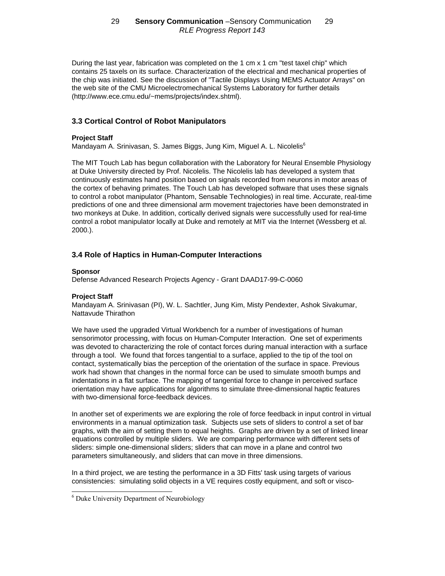During the last year, fabrication was completed on the 1 cm x 1 cm "test taxel chip" which contains 25 taxels on its surface. Characterization of the electrical and mechanical properties of the chip was initiated. See the discussion of "Tactile Displays Using MEMS Actuator Arrays" on the web site of the CMU Microelectromechanical Systems Laboratory for further details [\(http://www.ece.cmu.edu/~mems/projects/index.shtml\).](http://www.ece.cmu.edu/~mems/projects/index.shtml)

# **3.3 Cortical Control of Robot Manipulators**

## **Project Staff**

Mandayam A. Srinivasan, S. James Biggs, Jung Kim, Miguel A. L. Nicolelis<sup>6</sup>

The MIT Touch Lab has begun collaboration with the Laboratory for Neural Ensemble Physiology at Duke University directed by Prof. Nicolelis. The Nicolelis lab has developed a system that continuously estimates hand position based on signals recorded from neurons in motor areas of the cortex of behaving primates. The Touch Lab has developed software that uses these signals to control a robot manipulator (Phantom, Sensable Technologies) in real time. Accurate, real-time predictions of one and three dimensional arm movement trajectories have been demonstrated in two monkeys at Duke. In addition, cortically derived signals were successfully used for real-time control a robot manipulator locally at Duke and remotely at MIT via the Internet (Wessberg et al. 2000.).

# **3.4 Role of Haptics in Human-Computer Interactions**

### **Sponsor**

Defense Advanced Research Projects Agency - Grant DAAD17-99-C-0060

## **Project Staff**

Mandayam A. Srinivasan (PI), W. L. Sachtler, Jung Kim, Misty Pendexter, Ashok Sivakumar, Nattavude Thirathon

We have used the upgraded Virtual Workbench for a number of investigations of human sensorimotor processing, with focus on Human-Computer Interaction. One set of experiments was devoted to characterizing the role of contact forces during manual interaction with a surface through a tool. We found that forces tangential to a surface, applied to the tip of the tool on contact, systematically bias the perception of the orientation of the surface in space. Previous work had shown that changes in the normal force can be used to simulate smooth bumps and indentations in a flat surface. The mapping of tangential force to change in perceived surface orientation may have applications for algorithms to simulate three-dimensional haptic features with two-dimensional force-feedback devices.

In another set of experiments we are exploring the role of force feedback in input control in virtual environments in a manual optimization task. Subjects use sets of sliders to control a set of bar graphs, with the aim of setting them to equal heights. Graphs are driven by a set of linked linear equations controlled by multiple sliders. We are comparing performance with different sets of sliders: simple one-dimensional sliders; sliders that can move in a plane and control two parameters simultaneously, and sliders that can move in three dimensions.

In a third project, we are testing the performance in a 3D Fitts' task using targets of various consistencies: simulating solid objects in a VE requires costly equipment, and soft or visco-

 6 Duke University Department of Neurobiology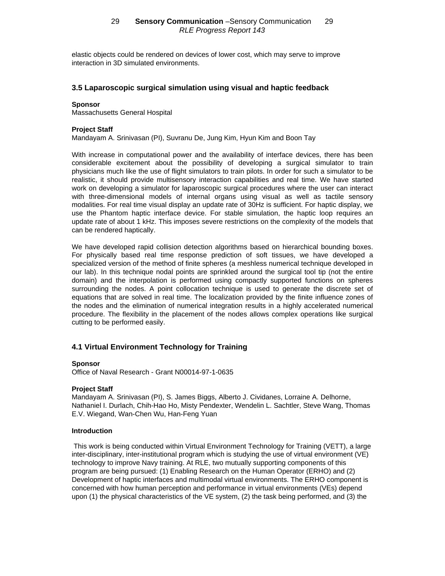elastic objects could be rendered on devices of lower cost, which may serve to improve interaction in 3D simulated environments.

### **3.5 Laparoscopic surgical simulation using visual and haptic feedback**

### **Sponsor**

Massachusetts General Hospital

## **Project Staff**

Mandayam A. Srinivasan (PI), Suvranu De, Jung Kim, Hyun Kim and Boon Tay

With increase in computational power and the availability of interface devices, there has been considerable excitement about the possibility of developing a surgical simulator to train physicians much like the use of flight simulators to train pilots. In order for such a simulator to be realistic, it should provide multisensory interaction capabilities and real time. We have started work on developing a simulator for laparoscopic surgical procedures where the user can interact with three-dimensional models of internal organs using visual as well as tactile sensory modalities. For real time visual display an update rate of 30Hz is sufficient. For haptic display, we use the Phantom haptic interface device. For stable simulation, the haptic loop requires an update rate of about 1 kHz. This imposes severe restrictions on the complexity of the models that can be rendered haptically.

We have developed rapid collision detection algorithms based on hierarchical bounding boxes. For physically based real time response prediction of soft tissues, we have developed a specialized version of the method of finite spheres (a meshless numerical technique developed in our lab). In this technique nodal points are sprinkled around the surgical tool tip (not the entire domain) and the interpolation is performed using compactly supported functions on spheres surrounding the nodes. A point collocation technique is used to generate the discrete set of equations that are solved in real time. The localization provided by the finite influence zones of the nodes and the elimination of numerical integration results in a highly accelerated numerical procedure. The flexibility in the placement of the nodes allows complex operations like surgical cutting to be performed easily.

## **4.1 Virtual Environment Technology for Training**

#### **Sponsor**

Office of Naval Research - Grant N00014-97-1-0635

## **Project Staff**

Mandayam A. Srinivasan (PI), S. James Biggs, Alberto J. Cividanes, Lorraine A. Delhorne, Nathaniel I. Durlach, Chih-Hao Ho, Misty Pendexter, Wendelin L. Sachtler, Steve Wang, Thomas E.V. Wiegand, Wan-Chen Wu, Han-Feng Yuan

## **Introduction**

 This work is being conducted within Virtual Environment Technology for Training (VETT), a large inter-disciplinary, inter-institutional program which is studying the use of virtual environment (VE) technology to improve Navy training. At RLE, two mutually supporting components of this program are being pursued: (1) Enabling Research on the Human Operator (ERHO) and (2) Development of haptic interfaces and multimodal virtual environments. The ERHO component is concerned with how human perception and performance in virtual environments (VEs) depend upon (1) the physical characteristics of the VE system, (2) the task being performed, and (3) the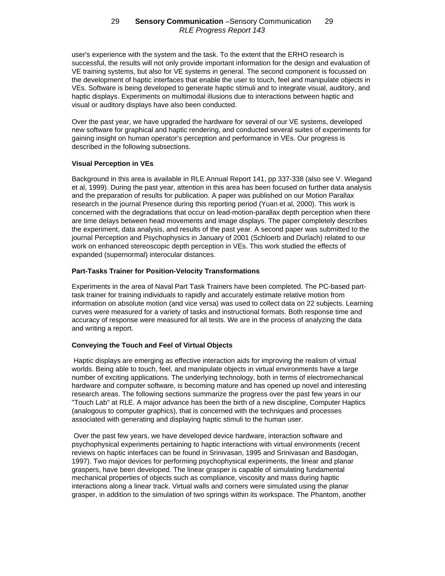user's experience with the system and the task. To the extent that the ERHO research is successful, the results will not only provide important information for the design and evaluation of VE training systems, but also for VE systems in general. The second component is focussed on the development of haptic interfaces that enable the user to touch, feel and manipulate objects in VEs. Software is being developed to generate haptic stimuli and to integrate visual, auditory, and haptic displays. Experiments on multimodal illusions due to interactions between haptic and visual or auditory displays have also been conducted.

Over the past year, we have upgraded the hardware for several of our VE systems, developed new software for graphical and haptic rendering, and conducted several suites of experiments for gaining insight on human operator's perception and performance in VEs. Our progress is described in the following subsections.

## **Visual Perception in VEs**

Background in this area is available in RLE Annual Report 141, pp 337-338 (also see V. Wiegand et al, 1999). During the past year, attention in this area has been focused on further data analysis and the preparation of results for publication. A paper was published on our Motion Parallax research in the journal Presence during this reporting period (Yuan et al, 2000). This work is concerned with the degradations that occur on lead-motion-parallax depth perception when there are time delays between head movements and image displays. The paper completely describes the experiment, data analysis, and results of the past year. A second paper was submitted to the journal Perception and Psychophysics in January of 2001 (Schloerb and Durlach) related to our work on enhanced stereoscopic depth perception in VEs. This work studied the effects of expanded (supernormal) interocular distances.

## **Part-Tasks Trainer for Position-Velocity Transformations**

Experiments in the area of Naval Part Task Trainers have been completed. The PC-based parttask trainer for training individuals to rapidly and accurately estimate relative motion from information on absolute motion (and vice versa) was used to collect data on 22 subjects. Learning curves were measured for a variety of tasks and instructional formats. Both response time and accuracy of response were measured for all tests. We are in the process of analyzing the data and writing a report.

# **Conveying the Touch and Feel of Virtual Objects**

 Haptic displays are emerging as effective interaction aids for improving the realism of virtual worlds. Being able to touch, feel, and manipulate objects in virtual environments have a large number of exciting applications. The underlying technology, both in terms of electromechanical hardware and computer software, is becoming mature and has opened up novel and interesting research areas. The following sections summarize the progress over the past few years in our "Touch Lab" at RLE. A major advance has been the birth of a new discipline, Computer Haptics (analogous to computer graphics), that is concerned with the techniques and processes associated with generating and displaying haptic stimuli to the human user.

 Over the past few years, we have developed device hardware, interaction software and psychophysical experiments pertaining to haptic interactions with virtual environments (recent reviews on haptic interfaces can be found in Srinivasan, 1995 and Srinivasan and Basdogan, 1997). Two major devices for performing psychophysical experiments, the linear and planar graspers, have been developed. The linear grasper is capable of simulating fundamental mechanical properties of objects such as compliance, viscosity and mass during haptic interactions along a linear track. Virtual walls and corners were simulated using the planar grasper, in addition to the simulation of two springs within its workspace. The Phantom, another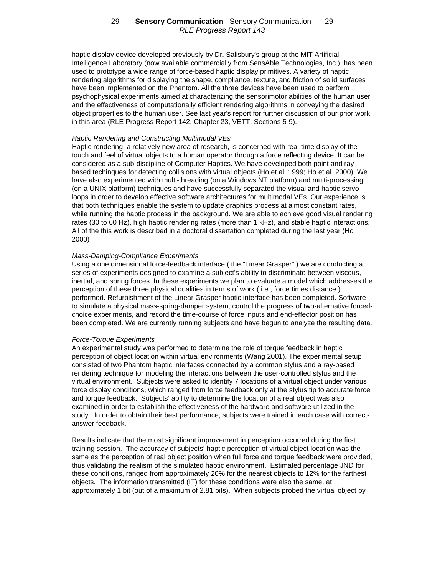haptic display device developed previously by Dr. Salisbury's group at the MIT Artificial Intelligence Laboratory (now available commercially from SensAble Technologies, Inc.), has been used to prototype a wide range of force-based haptic display primitives. A variety of haptic rendering algorithms for displaying the shape, compliance, texture, and friction of solid surfaces have been implemented on the Phantom. All the three devices have been used to perform psychophysical experiments aimed at characterizing the sensorimotor abilities of the human user and the effectiveness of computationally efficient rendering algorithms in conveying the desired object properties to the human user. See last year's report for further discussion of our prior work in this area (RLE Progress Report 142, Chapter 23, VETT, Sections 5-9).

### *Haptic Rendering and Constructing Multimodal VEs*

Haptic rendering, a relatively new area of research, is concerned with real-time display of the touch and feel of virtual objects to a human operator through a force reflecting device. It can be considered as a sub-discipline of Computer Haptics. We have developed both point and raybased techinques for detecting collisions with virtual objects (Ho et al. 1999; Ho et al. 2000). We have also experimented with multi-threading (on a Windows NT platform) and multi-processing (on a UNIX platform) techniques and have successfully separated the visual and haptic servo loops in order to develop effective software architectures for multimodal VEs. Our experience is that both techniques enable the system to update graphics process at almost constant rates, while running the haptic process in the background. We are able to achieve good visual rendering rates (30 to 60 Hz), high haptic rendering rates (more than 1 kHz), and stable haptic interactions. All of the this work is described in a doctoral dissertation completed during the last year (Ho 2000)

### *Mass-Damping-Compliance Experiments*

Using a one dimensional force-feedback interface ( the "Linear Grasper" ) we are conducting a series of experiments designed to examine a subject's ability to discriminate between viscous, inertial, and spring forces. In these experiments we plan to evaluate a model which addresses the perception of these three physical qualities in terms of work ( i.e., force times distance ) performed. Refurbishment of the Linear Grasper haptic interface has been completed. Software to simulate a physical mass-spring-damper system, control the progress of two-alternative forcedchoice experiments, and record the time-course of force inputs and end-effector position has been completed. We are currently running subjects and have begun to analyze the resulting data.

#### *Force-Torque Experiments*

An experimental study was performed to determine the role of torque feedback in haptic perception of object location within virtual environments (Wang 2001). The experimental setup consisted of two Phantom haptic interfaces connected by a common stylus and a ray-based rendering technique for modeling the interactions between the user-controlled stylus and the virtual environment. Subjects were asked to identify 7 locations of a virtual object under various force display conditions, which ranged from force feedback only at the stylus tip to accurate force and torque feedback. Subjects' ability to determine the location of a real object was also examined in order to establish the effectiveness of the hardware and software utilized in the study. In order to obtain their best performance, subjects were trained in each case with correctanswer feedback.

Results indicate that the most significant improvement in perception occurred during the first training session. The accuracy of subjects' haptic perception of virtual object location was the same as the perception of real object position when full force and torque feedback were provided, thus validating the realism of the simulated haptic environment. Estimated percentage JND for these conditions, ranged from approximately 20% for the nearest objects to 12% for the farthest objects. The information transmitted (IT) for these conditions were also the same, at approximately 1 bit (out of a maximum of 2.81 bits). When subjects probed the virtual object by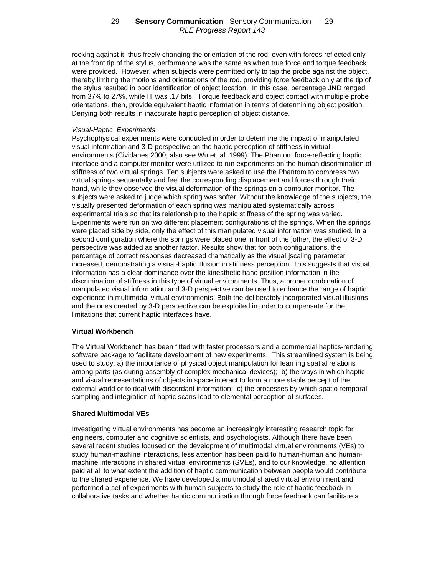rocking against it, thus freely changing the orientation of the rod, even with forces reflected only at the front tip of the stylus, performance was the same as when true force and torque feedback were provided. However, when subjects were permitted only to tap the probe against the object, thereby limiting the motions and orientations of the rod, providing force feedback only at the tip of the stylus resulted in poor identification of object location. In this case, percentage JND ranged from 37% to 27%, while IT was .17 bits. Torque feedback and object contact with multiple probe orientations, then, provide equivalent haptic information in terms of determining object position. Denying both results in inaccurate haptic perception of object distance.

### *Visual-Haptic Experiments*

Psychophysical experiments were conducted in order to determine the impact of manipulated visual information and 3-D perspective on the haptic perception of stiffness in virtual environments (Cividanes 2000; also see Wu et. al. 1999). The Phantom force-reflecting haptic interface and a computer monitor were utilized to run experiments on the human discrimination of stiffness of two virtual springs. Ten subjects were asked to use the Phantom to compress two virtual springs sequentally and feel the corresponding displacement and forces through their hand, while they observed the visual deformation of the springs on a computer monitor. The subjects were asked to judge which spring was softer. Without the knowledge of the subjects, the visually presented deformation of each spring was manipulated systematically across experimental trials so that its relationship to the haptic stiffness of the spring was varied. Experiments were run on two different placement configurations of the springs. When the springs were placed side by side, only the effect of this manipulated visual information was studied. In a second configuration where the springs were placed one in front of the lother, the effect of 3-D perspective was added as another factor. Results show that for both configurations, the percentage of correct responses decreased dramatically as the visual ]scaling parameter increased, demonstrating a visual-haptic illusion in stiffness perception. This suggests that visual information has a clear dominance over the kinesthetic hand position information in the discrimination of stiffness in this type of virtual environments. Thus, a proper combination of manipulated visual information and 3-D perspective can be used to enhance the range of haptic experience in multimodal virtual environments. Both the deliberately incorporated visual illusions and the ones created by 3-D perspective can be exploited in order to compensate for the limitations that current haptic interfaces have.

## **Virtual Workbench**

The Virtual Workbench has been fitted with faster processors and a commercial haptics-rendering software package to facilitate development of new experiments. This streamlined system is being used to study: a) the importance of physical object manipulation for learning spatial relations among parts (as during assembly of complex mechanical devices); b) the ways in which haptic and visual representations of objects in space interact to form a more stable percept of the external world or to deal with discordant information; c) the processes by which spatio-temporal sampling and integration of haptic scans lead to elemental perception of surfaces.

## **Shared Multimodal VEs**

Investigating virtual environments has become an increasingly interesting research topic for engineers, computer and cognitive scientists, and psychologists. Although there have been several recent studies focused on the development of multimodal virtual environments (VEs) to study human-machine interactions, less attention has been paid to human-human and humanmachine interactions in shared virtual environments (SVEs), and to our knowledge, no attention paid at all to what extent the addition of haptic communication between people would contribute to the shared experience. We have developed a multimodal shared virtual environment and performed a set of experiments with human subjects to study the role of haptic feedback in collaborative tasks and whether haptic communication through force feedback can facilitate a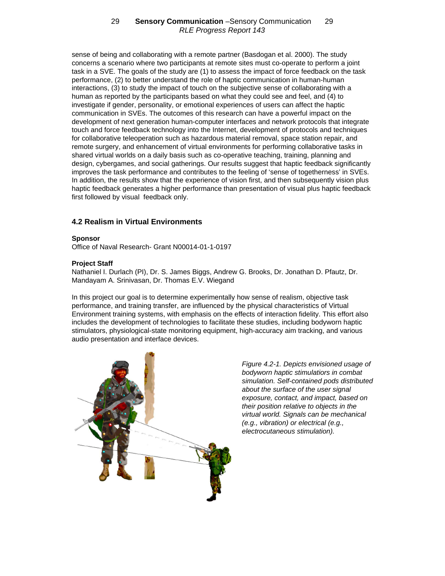sense of being and collaborating with a remote partner (Basdogan et al. 2000). The study concerns a scenario where two participants at remote sites must co-operate to perform a joint task in a SVE. The goals of the study are (1) to assess the impact of force feedback on the task performance, (2) to better understand the role of haptic communication in human-human interactions, (3) to study the impact of touch on the subjective sense of collaborating with a human as reported by the participants based on what they could see and feel, and (4) to investigate if gender, personality, or emotional experiences of users can affect the haptic communication in SVEs. The outcomes of this research can have a powerful impact on the development of next generation human-computer interfaces and network protocols that integrate touch and force feedback technology into the Internet, development of protocols and techniques for collaborative teleoperation such as hazardous material removal, space station repair, and remote surgery, and enhancement of virtual environments for performing collaborative tasks in shared virtual worlds on a daily basis such as co-operative teaching, training, planning and design, cybergames, and social gatherings. Our results suggest that haptic feedback significantly improves the task performance and contributes to the feeling of 'sense of togetherness' in SVEs. In addition, the results show that the experience of vision first, and then subsequently vision plus haptic feedback generates a higher performance than presentation of visual plus haptic feedback first followed by visual feedback only.

# **4.2 Realism in Virtual Environments**

#### **Sponsor**

Office of Naval Research- Grant N00014-01-1-0197

## **Project Staff**

Nathaniel I. Durlach (PI), Dr. S. James Biggs, Andrew G. Brooks, Dr. Jonathan D. Pfautz, Dr. Mandayam A. Srinivasan, Dr. Thomas E.V. Wiegand

In this project our goal is to determine experimentally how sense of realism, objective task performance, and training transfer, are influenced by the physical characteristics of Virtual Environment training systems, with emphasis on the effects of interaction fidelity. This effort also includes the development of technologies to facilitate these studies, including bodyworn haptic stimulators, physiological-state monitoring equipment, high-accuracy aim tracking, and various audio presentation and interface devices.



*Figure 4.2-1. Depicts envisioned usage of bodyworn haptic stimulatiors in combat simulation. Self-contained pods distributed about the surface of the user signal exposure, contact, and impact, based on their position relative to objects in the virtual world. Signals can be mechanical (e.g., vibration) or electrical (e.g., electrocutaneous stimulation).*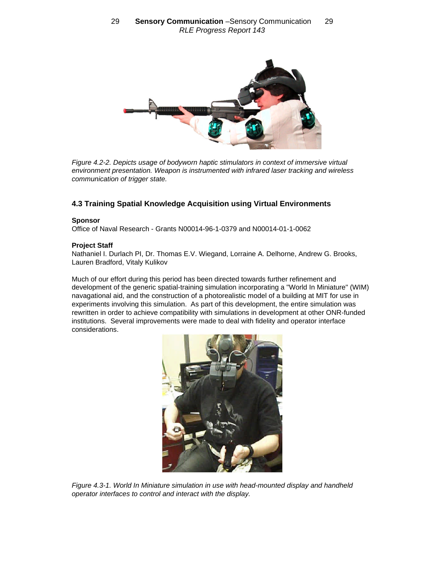

*Figure 4.2-2. Depicts usage of bodyworn haptic stimulators in context of immersive virtual environment presentation. Weapon is instrumented with infrared laser tracking and wireless communication of trigger state.*

# **4.3 Training Spatial Knowledge Acquisition using Virtual Environments**

### **Sponsor**

Office of Naval Research - Grants N00014-96-1-0379 and N00014-01-1-0062

## **Project Staff**

Nathaniel I. Durlach PI, Dr. Thomas E.V. Wiegand, Lorraine A. Delhorne, Andrew G. Brooks, Lauren Bradford, Vitaly Kulikov

Much of our effort during this period has been directed towards further refinement and development of the generic spatial-training simulation incorporating a "World In Miniature" (WIM) navagational aid, and the construction of a photorealistic model of a building at MIT for use in experiments involving this simulation. As part of this development, the entire simulation was rewritten in order to achieve compatibility with simulations in development at other ONR-funded institutions. Several improvements were made to deal with fidelity and operator interface considerations.



*Figure 4.3-1. World In Miniature simulation in use with head-mounted display and handheld operator interfaces to control and interact with the display.*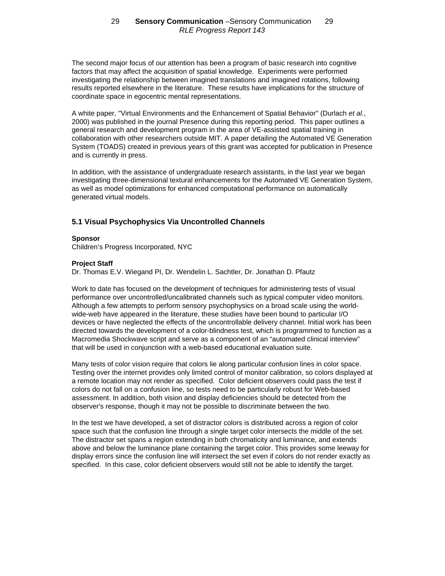The second major focus of our attention has been a program of basic research into cognitive factors that may affect the acquisition of spatial knowledge. Experiments were performed investigating the relationship between imagined translations and imagined rotations, following results reported elsewhere in the literature. These results have implications for the structure of coordinate space in egocentric mental representations.

A white paper, "Virtual Environments and the Enhancement of Spatial Behavior'' (Durlach *et al.*, 2000) was published in the journal Presence during this reporting period. This paper outlines a general research and development program in the area of VE-assisted spatial training in collaboration with other researchers outside MIT. A paper detailing the Automated VE Generation System (TOADS) created in previous years of this grant was accepted for publication in Presence and is currently in press.

In addition, with the assistance of undergraduate research assistants, in the last year we began investigating three-dimensional textural enhancements for the Automated VE Generation System, as well as model optimizations for enhanced computational performance on automatically generated virtual models.

# **5.1 Visual Psychophysics Via Uncontrolled Channels**

#### **Sponsor**

Children's Progress Incorporated, NYC

### **Project Staff**

Dr. Thomas E.V. Wiegand PI, Dr. Wendelin L. Sachtler, Dr. Jonathan D. Pfautz

Work to date has focused on the development of techniques for administering tests of visual performance over uncontrolled/uncalibrated channels such as typical computer video monitors. Although a few attempts to perform sensory psychophysics on a broad scale using the worldwide-web have appeared in the literature, these studies have been bound to particular I/O devices or have neglected the effects of the uncontrollable delivery channel. Initial work has been directed towards the development of a color-blindness test, which is programmed to function as a Macromedia Shockwave script and serve as a component of an "automated clinical interview" that will be used in conjunction with a web-based educational evaluation suite.

Many tests of color vision require that colors lie along particular confusion lines in color space. Testing over the internet provides only limited control of monitor calibration, so colors displayed at a remote location may not render as specified. Color deficient observers could pass the test if colors do not fall on a confusion line, so tests need to be particularly robust for Web-based assessment. In addition, both vision and display deficiencies should be detected from the observer's response, though it may not be possible to discriminate between the two.

In the test we have developed, a set of distractor colors is distributed across a region of color space such that the confusion line through a single target color intersects the middle of the set. The distractor set spans a region extending in both chromaticity and luminance, and extends above and below the luminance plane containing the target color. This provides some leeway for display errors since the confusion line will intersect the set even if colors do not render exactly as specified. In this case, color deficient observers would still not be able to identify the target.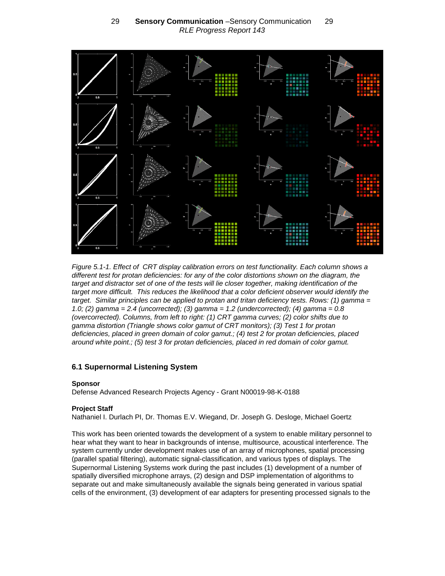

*Figure 5.1-1. Effect of CRT display calibration errors on test functionality. Each column shows a different test for protan deficiencies: for any of the color distortions shown on the diagram, the target and distractor set of one of the tests will lie closer together, making identification of the target more difficult. This reduces the likelihood that a color deficient observer would identify the target. Similar principles can be applied to protan and tritan deficiency tests. Rows: (1) gamma = 1.0; (2) gamma = 2.4 (uncorrected); (3) gamma = 1.2 (undercorrected); (4) gamma = 0.8 (overcorrected). Columns, from left to right: (1) CRT gamma curves; (2) color shifts due to gamma distortion (Triangle shows color gamut of CRT monitors); (3) Test 1 for protan deficiencies, placed in green domain of color gamut.; (4) test 2 for protan deficiencies, placed around white point.; (5) test 3 for protan deficiencies, placed in red domain of color gamut.*

# **6.1 Supernormal Listening System**

## **Sponsor**

Defense Advanced Research Projects Agency - Grant N00019-98-K-0188

## **Project Staff**

Nathaniel I. Durlach PI, Dr. Thomas E.V. Wiegand, Dr. Joseph G. Desloge, Michael Goertz

This work has been oriented towards the development of a system to enable military personnel to hear what they want to hear in backgrounds of intense, multisource, acoustical interference. The system currently under development makes use of an array of microphones, spatial processing (parallel spatial filtering), automatic signal-classification, and various types of displays. The Supernormal Listening Systems work during the past includes (1) development of a number of spatially diversified microphone arrays, (2) design and DSP implementation of algorithms to separate out and make simultaneously available the signals being generated in various spatial cells of the environment, (3) development of ear adapters for presenting processed signals to the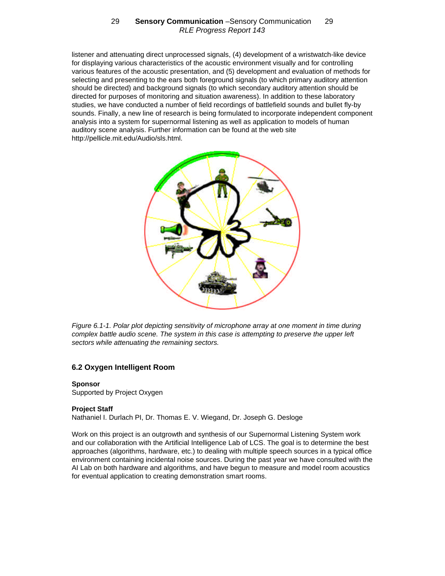listener and attenuating direct unprocessed signals, (4) development of a wristwatch-like device for displaying various characteristics of the acoustic environment visually and for controlling various features of the acoustic presentation, and (5) development and evaluation of methods for selecting and presenting to the ears both foreground signals (to which primary auditory attention should be directed) and background signals (to which secondary auditory attention should be directed for purposes of monitoring and situation awareness). In addition to these laboratory studies, we have conducted a number of field recordings of battlefield sounds and bullet fly-by sounds. Finally, a new line of research is being formulated to incorporate independent component analysis into a system for supernormal listening as well as application to models of human auditory scene analysis. Further information can be found at the web site [http://pellicle.mit.edu/Audio/sls.html.](http://pellicle.mit.edu/Audio/sls.html)



*Figure 6.1-1. Polar plot depicting sensitivity of microphone array at one moment in time during complex battle audio scene. The system in this case is attempting to preserve the upper left sectors while attenuating the remaining sectors.*

## **6.2 Oxygen Intelligent Room**

## **Sponsor**

Supported by Project Oxygen

## **Project Staff**

Nathaniel I. Durlach PI, Dr. Thomas E. V. Wiegand, Dr. Joseph G. Desloge

Work on this project is an outgrowth and synthesis of our Supernormal Listening System work and our collaboration with the Artificial Intelligence Lab of LCS. The goal is to determine the best approaches (algorithms, hardware, etc.) to dealing with multiple speech sources in a typical office environment containing incidental noise sources. During the past year we have consulted with the AI Lab on both hardware and algorithms, and have begun to measure and model room acoustics for eventual application to creating demonstration smart rooms.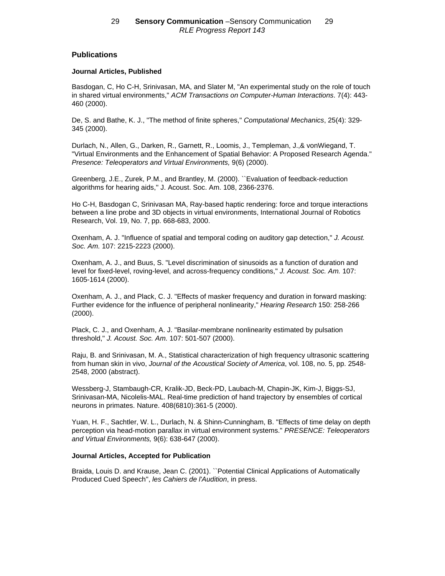## **Publications**

### **Journal Articles, Published**

Basdogan, C, Ho C-H, Srinivasan, MA, and Slater M, "An experimental study on the role of touch in shared virtual environments," *ACM Transactions on Computer-Human Interactions*. 7(4): 443- 460 (2000).

De, S. and Bathe, K. J., "The method of finite spheres," *Computational Mechanics*, 25(4): 329- 345 (2000).

Durlach, N., Allen, G., Darken, R., Garnett, R., Loomis, J., Templeman, J.,& vonWiegand, T. "Virtual Environments and the Enhancement of Spatial Behavior: A Proposed Research Agenda." *Presence: Teleoperators and Virtual Environments,* 9(6) (2000).

Greenberg, J.E., Zurek, P.M., and Brantley, M. (2000). ``Evaluation of feedback-reduction algorithms for hearing aids,'' J. Acoust. Soc. Am. 108, 2366-2376.

Ho C-H, Basdogan C, Srinivasan MA, Ray-based haptic rendering: force and torque interactions between a line probe and 3D objects in virtual environments, International Journal of Robotics Research, Vol. 19, No. 7, pp. 668-683, 2000.

Oxenham, A. J. "Influence of spatial and temporal coding on auditory gap detection," *J. Acoust. Soc. Am.* 107: 2215-2223 (2000).

Oxenham, A. J., and Buus, S. "Level discrimination of sinusoids as a function of duration and level for fixed-level, roving-level, and across-frequency conditions," *J. Acoust. Soc. Am.* 107: 1605-1614 (2000).

Oxenham, A. J., and Plack, C. J. "Effects of masker frequency and duration in forward masking: Further evidence for the influence of peripheral nonlinearity," *Hearing Research* 150: 258-266 (2000).

Plack, C. J., and Oxenham, A. J. "Basilar-membrane nonlinearity estimated by pulsation threshold," *J. Acoust. Soc. Am.* 107: 501-507 (2000).

Raju, B. and Srinivasan, M. A., Statistical characterization of high frequency ultrasonic scattering from human skin in vivo, *Journal of the Acoustical Society of America*, vol. 108, no. 5, pp. 2548- 2548, 2000 (abstract).

Wessberg-J, Stambaugh-CR, Kralik-JD, Beck-PD, Laubach-M, Chapin-JK, Kim-J, Biggs-SJ, Srinivasan-MA, Nicolelis-MAL. Real-time prediction of hand trajectory by ensembles of cortical neurons in primates. Nature. 408(6810):361-5 (2000).

Yuan, H. F., Sachtler, W. L., Durlach, N. & Shinn-Cunningham, B. "Effects of time delay on depth perception via head-motion parallax in virtual environment systems." *PRESENCE: Teleoperators and Virtual Environments,* 9(6): 638-647 (2000).

#### **Journal Articles, Accepted for Publication**

Braida, Louis D. and Krause, Jean C. (2001). ``Potential Clinical Applications of Automatically Produced Cued Speech'', *les Cahiers de l'Audition*, in press.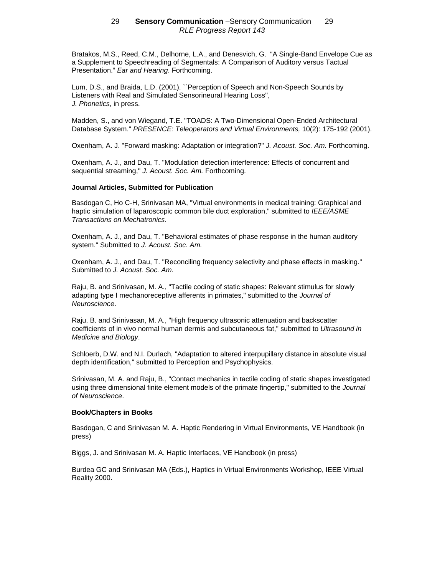Bratakos, M.S., Reed, C.M., Delhorne, L.A., and Denesvich, G. "A Single-Band Envelope Cue as a Supplement to Speechreading of Segmentals: A Comparison of Auditory versus Tactual Presentation." *Ear and Hearing*. Forthcoming.

Lum, D.S., and Braida, L.D. (2001). ``Perception of Speech and Non-Speech Sounds by Listeners with Real and Simulated Sensorineural Hearing Loss'', *J. Phonetics*, in press.

Madden, S., and von Wiegand, T.E. "TOADS: A Two-Dimensional Open-Ended Architectural Database System." *PRESENCE: Teleoperators and Virtual Environments,* 10(2): 175-192 (2001).

Oxenham, A. J. "Forward masking: Adaptation or integration?" *J. Acoust. Soc. Am.* Forthcoming.

Oxenham, A. J., and Dau, T. "Modulation detection interference: Effects of concurrent and sequential streaming," *J. Acoust. Soc. Am.* Forthcoming.

### **Journal Articles, Submitted for Publication**

Basdogan C, Ho C-H, Srinivasan MA, "Virtual environments in medical training: Graphical and haptic simulation of laparoscopic common bile duct exploration," submitted to *IEEE/ASME Transactions on Mechatronics*.

Oxenham, A. J., and Dau, T. "Behavioral estimates of phase response in the human auditory system." Submitted to *J. Acoust. Soc. Am.*

Oxenham, A. J., and Dau, T. "Reconciling frequency selectivity and phase effects in masking." Submitted to *J. Acoust. Soc. Am.*

Raju, B. and Srinivasan, M. A., "Tactile coding of static shapes: Relevant stimulus for slowly adapting type I mechanoreceptive afferents in primates," submitted to the *Journal of Neuroscience*.

Raju, B. and Srinivasan, M. A., "High frequency ultrasonic attenuation and backscatter coefficients of in vivo normal human dermis and subcutaneous fat," submitted to *Ultrasound in Medicine and Biology*.

Schloerb, D.W. and N.I. Durlach, "Adaptation to altered interpupillary distance in absolute visual depth identification," submitted to Perception and Psychophysics.

Srinivasan, M. A. and Raju, B., "Contact mechanics in tactile coding of static shapes investigated using three dimensional finite element models of the primate fingertip," submitted to the *Journal of Neuroscience*.

#### **Book/Chapters in Books**

Basdogan, C and Srinivasan M. A. Haptic Rendering in Virtual Environments, VE Handbook (in press)

Biggs, J. and Srinivasan M. A. Haptic Interfaces, VE Handbook (in press)

Burdea GC and Srinivasan MA (Eds.), Haptics in Virtual Environments Workshop, IEEE Virtual Reality 2000.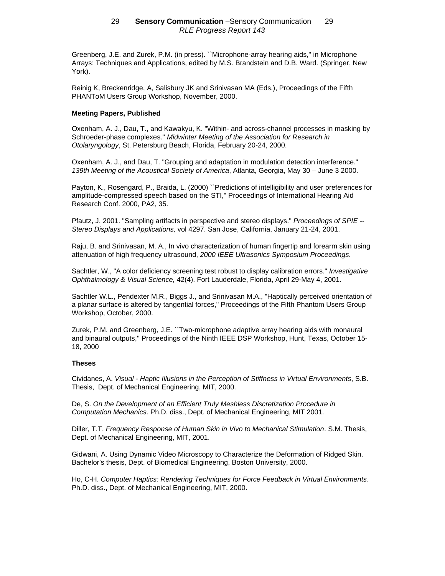Greenberg, J.E. and Zurek, P.M. (in press). ``Microphone-array hearing aids,'' in Microphone Arrays: Techniques and Applications, edited by M.S. Brandstein and D.B. Ward. (Springer, New York).

Reinig K, Breckenridge, A, Salisbury JK and Srinivasan MA (Eds.), Proceedings of the Fifth PHANToM Users Group Workshop, November, 2000.

### **Meeting Papers, Published**

Oxenham, A. J., Dau, T., and Kawakyu, K. "Within- and across-channel processes in masking by Schroeder-phase complexes." *Midwinter Meeting of the Association for Research in Otolaryngology*, St. Petersburg Beach, Florida, February 20-24, 2000.

Oxenham, A. J., and Dau, T. "Grouping and adaptation in modulation detection interference." *139th Meeting of the Acoustical Society of America*, Atlanta, Georgia, May 30 – June 3 2000.

Payton, K., Rosengard, P., Braida, L. (2000) ``Predictions of intelligibility and user preferences for amplitude-compressed speech based on the STI,'' Proceedings of International Hearing Aid Research Conf. 2000, PA2, 35.

Pfautz, J. 2001. "Sampling artifacts in perspective and stereo displays." *Proceedings of SPIE -- Stereo Displays and Applications,* vol 4297. San Jose, California, January 21-24, 2001.

Raju, B. and Srinivasan, M. A., In vivo characterization of human fingertip and forearm skin using attenuation of high frequency ultrasound, *2000 IEEE Ultrasonics Symposium Proceedings*.

Sachtler, W., "A color deficiency screening test robust to display calibration errors." *Investigative Ophthalmology & Visual Science,* 42(4). Fort Lauderdale, Florida, April 29-May 4, 2001.

Sachtler W.L., Pendexter M.R., Biggs J., and Srinivasan M.A., "Haptically perceived orientation of a planar surface is altered by tangential forces," Proceedings of the Fifth Phantom Users Group Workshop, October, 2000.

Zurek, P.M. and Greenberg, J.E. ``Two-microphone adaptive array hearing aids with monaural and binaural outputs,'' Proceedings of the Ninth IEEE DSP Workshop, Hunt, Texas, October 15- 18, 2000

#### **Theses**

Cividanes, A. *Visual - Haptic Illusions in the Perception of Stiffness in Virtual Environments*, S.B. Thesis, Dept. of Mechanical Engineering, MIT, 2000.

De, S. *On the Development of an Efficient Truly Meshless Discretization Procedure in Computation Mechanics*. Ph.D. diss., Dept. of Mechanical Engineering, MIT 2001.

Diller, T.T. *Frequency Response of Human Skin in Vivo to Mechanical Stimulation*. S.M. Thesis, Dept. of Mechanical Engineering, MIT, 2001.

Gidwani, A. Using Dynamic Video Microscopy to Characterize the Deformation of Ridged Skin. Bachelor's thesis, Dept. of Biomedical Engineering, Boston University, 2000.

Ho, C-H. *Computer Haptics: Rendering Techniques for Force Feedback in Virtual Environments*. Ph.D. diss., Dept. of Mechanical Engineering, MIT, 2000.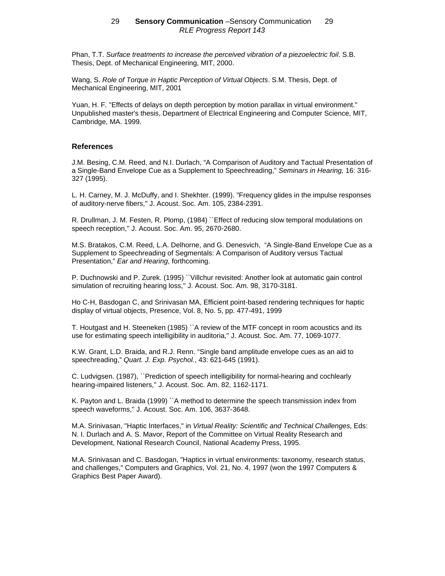Phan, T.T. *Surface treatments to increase the perceived vibration of a piezoelectric foil*. S.B. Thesis, Dept. of Mechanical Engineering, MIT, 2000.

Wang, S. *Role of Torque in Haptic Perception of Virtual Objects*. S.M. Thesis, Dept. of Mechanical Engineering, MIT, 2001

Yuan, H. F. "Effects of delays on depth perception by motion parallax in virtual environment." Unpublished master's thesis, Department of Electrical Engineering and Computer Science, MIT, Cambridge, MA. 1999.

## **References**

J.M. Besing, C.M. Reed, and N.I. Durlach, "A Comparison of Auditory and Tactual Presentation of a Single-Band Envelope Cue as a Supplement to Speechreading," *Seminars in Hearing,* 16: 316- 327 (1995).

L. H. Carney, M. J. McDuffy, and I. Shekhter. (1999). "Frequency glides in the impulse responses of auditory-nerve fibers," J. Acoust. Soc. Am. 105, 2384-2391.

R. Drullman, J. M. Festen, R. Plomp, (1984) ``Effect of reducing slow temporal modulations on speech reception,'' J. Acoust. Soc. Am. 95, 2670-2680.

M.S. Bratakos, C.M. Reed, L.A. Delhorne, and G. Denesvich, "A Single-Band Envelope Cue as a Supplement to Speechreading of Segmentals: A Comparison of Auditory versus Tactual Presentation," *Ear and Hearing*, forthcoming.

P. Duchnowski and P. Zurek. (1995) ``Villchur revisited: Another look at automatic gain control simulation of recruiting hearing loss,'' J. Acoust. Soc. Am. 98, 3170-3181.

Ho C-H, Basdogan C, and Srinivasan MA, Efficient point-based rendering techniques for haptic display of virtual objects, Presence, Vol. 8, No. 5, pp. 477-491, 1999

T. Houtgast and H. Steeneken (1985) ``A review of the MTF concept in room acoustics and its use for estimating speech intelligibility in auditoria,'' J. Acoust. Soc. Am. 77, 1069-1077.

K.W. Grant, L.D. Braida, and R.J. Renn. "Single band amplitude envelope cues as an aid to speechreading," *Quart. J. Exp. Psychol.*, 43: 621-645 (1991).

C. Ludvigsen. (1987), ``Prediction of speech intelligibility for normal-hearing and cochlearly hearing-impaired listeners,'' J. Acoust. Soc. Am. 82, 1162-1171.

K. Payton and L. Braida (1999) ``A method to determine the speech transmission index from speech waveforms,'' J. Acoust. Soc. Am. 106, 3637-3648.

M.A. Srinivasan, "Haptic Interfaces," in *Virtual Reality: Scientific and Technical Challenges*, Eds: N. I. Durlach and A. S. Mavor, Report of the Committee on Virtual Reality Research and Development, National Research Council, National Academy Press, 1995.

M.A. Srinivasan and C. Basdogan, "Haptics in virtual environments: taxonomy, research status, and challenges," Computers and Graphics, Vol. 21, No. 4, 1997 (won the 1997 Computers & Graphics Best Paper Award).